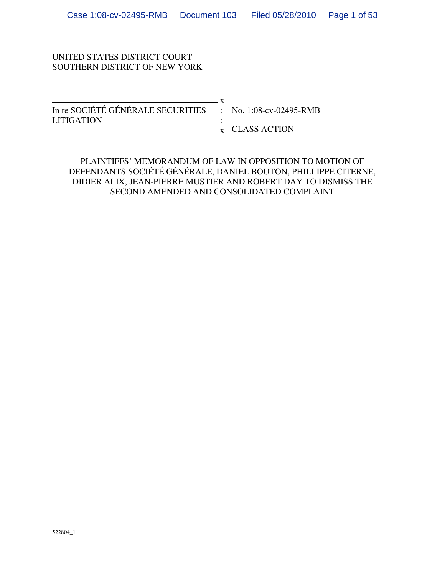## UNITED STATES DISTRICT COURT SOUTHERN DISTRICT OF NEW YORK

| In re SOCIÉTÉ GÉNÉRALE SECURITIES : No. 1:08-cv-02495-RMB |                |
|-----------------------------------------------------------|----------------|
| <b>LITIGATION</b>                                         |                |
|                                                           | x CLASS ACTION |

PLAINTIFFS' MEMORANDUM OF LAW IN OPPOSITION TO MOTION OF DEFENDANTS SOCIÉTÉ GÉNÉRALE, DANIEL BOUTON, PHILLIPPE CITERNE, DIDIER ALIX, JEAN-PIERRE MUSTIER AND ROBERT DAY TO DISMISS THE SECOND AMENDED AND CONSOLIDATED COMPLAINT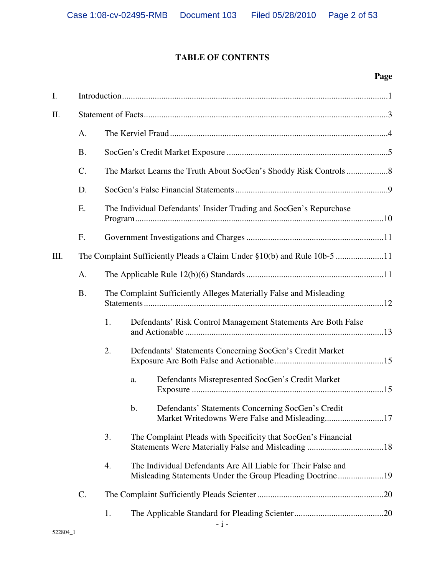# **TABLE OF CONTENTS**

# **Page**

| I.   |                 |    |                                                                                                                           |
|------|-----------------|----|---------------------------------------------------------------------------------------------------------------------------|
| II.  |                 |    |                                                                                                                           |
|      | A.              |    |                                                                                                                           |
|      | <b>B.</b>       |    |                                                                                                                           |
|      | $\mathcal{C}$ . |    |                                                                                                                           |
|      | D.              |    |                                                                                                                           |
|      | E.              |    | The Individual Defendants' Insider Trading and SocGen's Repurchase                                                        |
|      | F.              |    |                                                                                                                           |
| III. |                 |    | The Complaint Sufficiently Pleads a Claim Under §10(b) and Rule 10b-5 11                                                  |
|      | A.              |    |                                                                                                                           |
|      | <b>B.</b>       |    | The Complaint Sufficiently Alleges Materially False and Misleading                                                        |
|      |                 | 1. | Defendants' Risk Control Management Statements Are Both False                                                             |
|      |                 | 2. | Defendants' Statements Concerning SocGen's Credit Market                                                                  |
|      |                 |    | Defendants Misrepresented SocGen's Credit Market<br>a.                                                                    |
|      |                 |    | Defendants' Statements Concerning SocGen's Credit<br>$\mathbf b$ .<br>Market Writedowns Were False and Misleading17       |
|      |                 | 3. | The Complaint Pleads with Specificity that SocGen's Financial                                                             |
|      |                 | 4. | The Individual Defendants Are All Liable for Their False and<br>Misleading Statements Under the Group Pleading Doctrine19 |
|      | C.              |    |                                                                                                                           |
|      |                 | 1. |                                                                                                                           |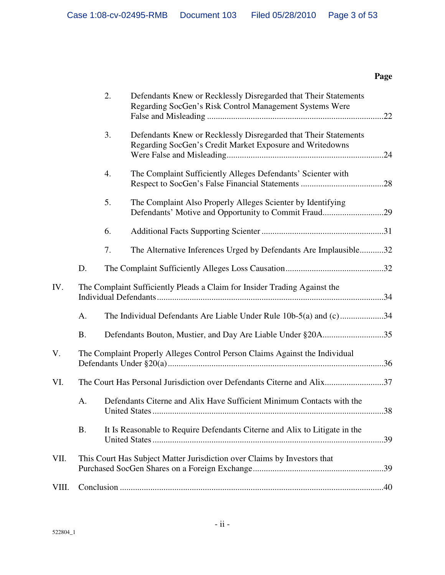# **Page**

|       |           | 2. | Defendants Knew or Recklessly Disregarded that Their Statements<br>Regarding SocGen's Risk Control Management Systems Were  |     |
|-------|-----------|----|-----------------------------------------------------------------------------------------------------------------------------|-----|
|       |           | 3. | Defendants Knew or Recklessly Disregarded that Their Statements<br>Regarding SocGen's Credit Market Exposure and Writedowns |     |
|       |           | 4. | The Complaint Sufficiently Alleges Defendants' Scienter with                                                                |     |
|       |           | 5. | The Complaint Also Properly Alleges Scienter by Identifying                                                                 |     |
|       |           | 6. |                                                                                                                             |     |
|       |           | 7. | The Alternative Inferences Urged by Defendants Are Implausible32                                                            |     |
|       | D.        |    |                                                                                                                             |     |
| IV.   |           |    | The Complaint Sufficiently Pleads a Claim for Insider Trading Against the                                                   |     |
|       | A.        |    | The Individual Defendants Are Liable Under Rule 10b-5(a) and (c)34                                                          |     |
|       | <b>B.</b> |    | Defendants Bouton, Mustier, and Day Are Liable Under §20A35                                                                 |     |
| V.    |           |    | The Complaint Properly Alleges Control Person Claims Against the Individual                                                 |     |
| VI.   |           |    | The Court Has Personal Jurisdiction over Defendants Citerne and Alix37                                                      |     |
|       | A.        |    | Defendants Citerne and Alix Have Sufficient Minimum Contacts with the                                                       |     |
|       | B.        |    | It Is Reasonable to Require Defendants Citerne and Alix to Litigate in the                                                  | .39 |
| VII.  |           |    | This Court Has Subject Matter Jurisdiction over Claims by Investors that                                                    |     |
| VIII. |           |    |                                                                                                                             |     |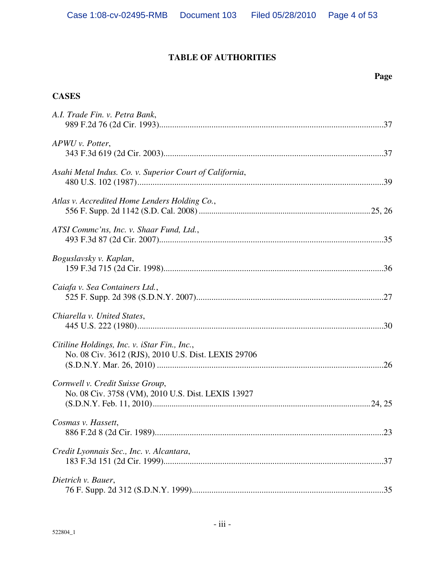# **TABLE OF AUTHORITIES**

### **Page**

# **CASES**

| A.I. Trade Fin. v. Petra Bank,                                                                      |
|-----------------------------------------------------------------------------------------------------|
| APWU v. Potter,                                                                                     |
| Asahi Metal Indus. Co. v. Superior Court of California,                                             |
| Atlas v. Accredited Home Lenders Holding Co.,                                                       |
| ATSI Commc'ns, Inc. v. Shaar Fund, Ltd.,                                                            |
| Boguslavsky v. Kaplan,                                                                              |
| Caiafa v. Sea Containers Ltd.,                                                                      |
| Chiarella v. United States,                                                                         |
| Citiline Holdings, Inc. v. iStar Fin., Inc.,<br>No. 08 Civ. 3612 (RJS), 2010 U.S. Dist. LEXIS 29706 |
| Cornwell v. Credit Suisse Group,<br>No. 08 Civ. 3758 (VM), 2010 U.S. Dist. LEXIS 13927              |
| Cosmas v. Hassett,                                                                                  |
| Credit Lyonnais Sec., Inc. v. Alcantara,                                                            |
| Dietrich v. Bauer,                                                                                  |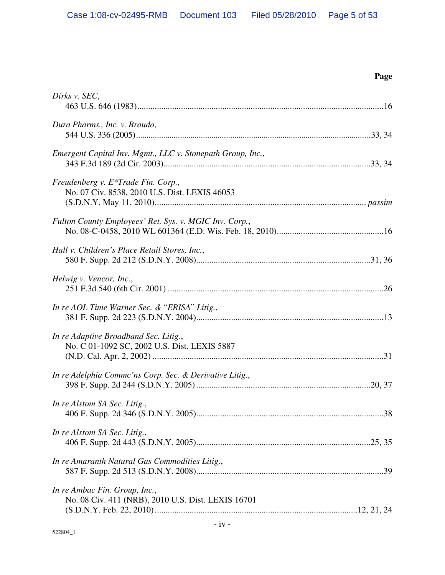| ٠ |
|---|
|---|

| Dirks v. SEC,                                                                         |
|---------------------------------------------------------------------------------------|
| Dura Pharms., Inc. v. Broudo,                                                         |
| Emergent Capital Inv. Mgmt., LLC v. Stonepath Group, Inc.,                            |
| Freudenberg v. E*Trade Fin. Corp.,<br>No. 07 Civ. 8538, 2010 U.S. Dist. LEXIS 46053   |
| Fulton County Employees' Ret. Sys. v. MGIC Inv. Corp.,                                |
| Hall v. Children's Place Retail Stores, Inc.,                                         |
| Helwig v. Vencor, Inc.,                                                               |
| In re AOL Time Warner Sec. & "ERISA" Litig.,                                          |
| In re Adaptive Broadband Sec. Litig.,<br>No. C 01-1092 SC, 2002 U.S. Dist. LEXIS 5887 |
| In re Adelphia Commc'ns Corp. Sec. & Derivative Litig.,                               |
| In re Alstom SA Sec. Litig.,                                                          |
| In re Alstom SA Sec. Litig.,                                                          |
| In re Amaranth Natural Gas Commodities Litig.,                                        |
| In re Ambac Fin. Group, Inc.,<br>No. 08 Civ. 411 (NRB), 2010 U.S. Dist. LEXIS 16701   |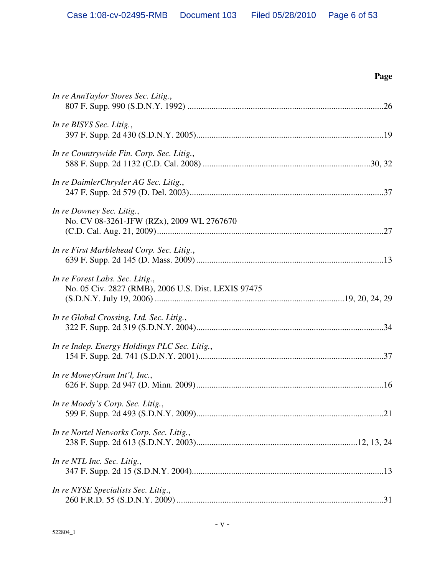| ٠<br>I |
|--------|
|--------|

| In re AnnTaylor Stores Sec. Litig.,                                                    |
|----------------------------------------------------------------------------------------|
| In re BISYS Sec. Litig.,                                                               |
| In re Countrywide Fin. Corp. Sec. Litig.,                                              |
| In re DaimlerChrysler AG Sec. Litig.,                                                  |
| In re Downey Sec. Litig.,<br>No. CV 08-3261-JFW (RZx), 2009 WL 2767670                 |
| In re First Marblehead Corp. Sec. Litig.,                                              |
| In re Forest Labs. Sec. Litig.,<br>No. 05 Civ. 2827 (RMB), 2006 U.S. Dist. LEXIS 97475 |
| In re Global Crossing, Ltd. Sec. Litig.,                                               |
| In re Indep. Energy Holdings PLC Sec. Litig.,                                          |
| In re MoneyGram Int'l, Inc.,                                                           |
| In re Moody's Corp. Sec. Litig.,                                                       |
| In re Nortel Networks Corp. Sec. Litig.,                                               |
| In re NTL Inc. Sec. Litig.,                                                            |
| In re NYSE Specialists Sec. Litig.,                                                    |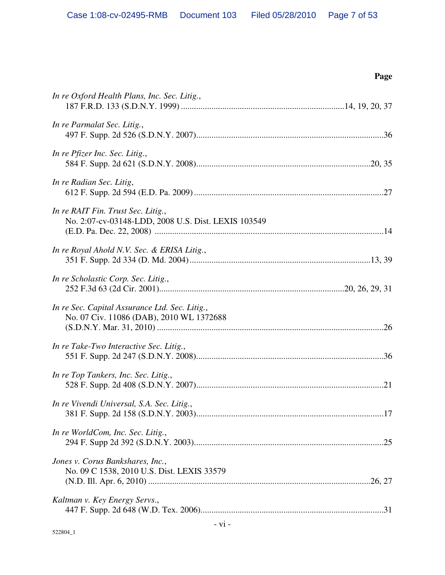**Page** 

| In re Oxford Health Plans, Inc. Sec. Litig.,                                               |
|--------------------------------------------------------------------------------------------|
| In re Parmalat Sec. Litig.,                                                                |
| In re Pfizer Inc. Sec. Litig.,                                                             |
| In re Radian Sec. Litig,                                                                   |
| In re RAIT Fin. Trust Sec. Litig.,<br>No. 2:07-cv-03148-LDD, 2008 U.S. Dist. LEXIS 103549  |
| In re Royal Ahold N.V. Sec. & ERISA Litig.,                                                |
| In re Scholastic Corp. Sec. Litig.,                                                        |
| In re Sec. Capital Assurance Ltd. Sec. Litig.,<br>No. 07 Civ. 11086 (DAB), 2010 WL 1372688 |
| In re Take-Two Interactive Sec. Litig.,                                                    |
| In re Top Tankers, Inc. Sec. Litig.,                                                       |
| In re Vivendi Universal, S.A. Sec. Litig.,                                                 |
| In re WorldCom, Inc. Sec. Litig.,                                                          |
| Jones v. Corus Bankshares, Inc.,<br>No. 09 C 1538, 2010 U.S. Dist. LEXIS 33579             |
| Kaltman v. Key Energy Servs.,                                                              |
|                                                                                            |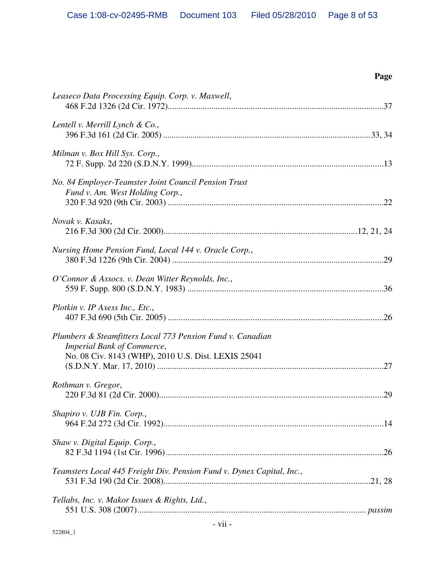| Page                                                                                                                                                   |  |
|--------------------------------------------------------------------------------------------------------------------------------------------------------|--|
| Leaseco Data Processing Equip. Corp. v. Maxwell,                                                                                                       |  |
| Lentell v. Merrill Lynch & Co.,                                                                                                                        |  |
| Milman v. Box Hill Sys. Corp.,                                                                                                                         |  |
| No. 84 Employer-Teamster Joint Council Pension Trust<br>Fund v. Am. West Holding Corp.,                                                                |  |
| Novak v. Kasaks,                                                                                                                                       |  |
| Nursing Home Pension Fund, Local 144 v. Oracle Corp.,                                                                                                  |  |
| O'Connor & Assocs. v. Dean Witter Reynolds, Inc.,                                                                                                      |  |
| Plotkin v. IP Axess Inc., Etc.,                                                                                                                        |  |
| Plumbers & Steamfitters Local 773 Pension Fund v. Canadian<br><b>Imperial Bank of Commerce,</b><br>No. 08 Civ. 8143 (WHP), 2010 U.S. Dist. LEXIS 25041 |  |
| Rothman v. Gregor,<br>29                                                                                                                               |  |
| Shapiro v. UJB Fin. Corp.,                                                                                                                             |  |
| Shaw v. Digital Equip. Corp.,                                                                                                                          |  |
| Teamsters Local 445 Freight Div. Pension Fund v. Dynex Capital, Inc.,                                                                                  |  |
| Tellabs, Inc. v. Makor Issues & Rights, Ltd.,                                                                                                          |  |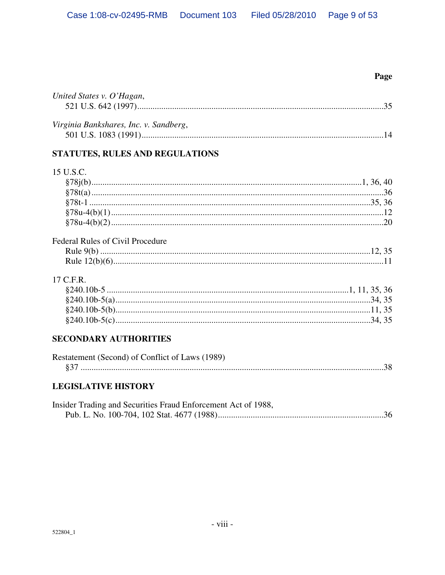# Page

| United States v. O'Hagan,                       |  |
|-------------------------------------------------|--|
|                                                 |  |
| Virginia Bankshares, Inc. v. Sandberg,          |  |
|                                                 |  |
| STATUTES, RULES AND REGULATIONS                 |  |
| 15 U.S.C.                                       |  |
|                                                 |  |
|                                                 |  |
|                                                 |  |
|                                                 |  |
|                                                 |  |
| <b>Federal Rules of Civil Procedure</b>         |  |
|                                                 |  |
|                                                 |  |
| 17 C.F.R.                                       |  |
|                                                 |  |
|                                                 |  |
|                                                 |  |
|                                                 |  |
| <b>SECONDARY AUTHORITIES</b>                    |  |
| Restatement (Second) of Conflict of Laws (1989) |  |
|                                                 |  |

# **LEGISLATIVE HISTORY**

| Insider Trading and Securities Fraud Enforcement Act of 1988, |  |
|---------------------------------------------------------------|--|
|                                                               |  |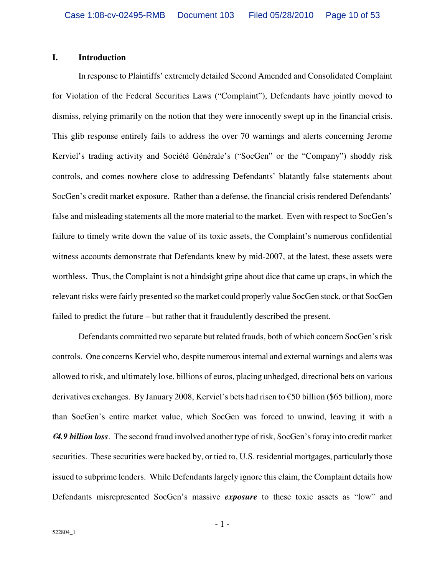#### **I. Introduction**

In response to Plaintiffs' extremely detailed Second Amended and Consolidated Complaint for Violation of the Federal Securities Laws ("Complaint"), Defendants have jointly moved to dismiss, relying primarily on the notion that they were innocently swept up in the financial crisis. This glib response entirely fails to address the over 70 warnings and alerts concerning Jerome Kerviel's trading activity and Société Générale's ("SocGen" or the "Company") shoddy risk controls, and comes nowhere close to addressing Defendants' blatantly false statements about SocGen's credit market exposure. Rather than a defense, the financial crisis rendered Defendants' false and misleading statements all the more material to the market. Even with respect to SocGen's failure to timely write down the value of its toxic assets, the Complaint's numerous confidential witness accounts demonstrate that Defendants knew by mid-2007, at the latest, these assets were worthless. Thus, the Complaint is not a hindsight gripe about dice that came up craps, in which the relevant risks were fairly presented so the market could properly value SocGen stock, or that SocGen failed to predict the future – but rather that it fraudulently described the present.

Defendants committed two separate but related frauds, both of which concern SocGen's risk controls. One concerns Kerviel who, despite numerous internal and external warnings and alerts was allowed to risk, and ultimately lose, billions of euros, placing unhedged, directional bets on various derivatives exchanges. By January 2008, Kerviel's bets had risen to €50 billion (\$65 billion), more than SocGen's entire market value, which SocGen was forced to unwind, leaving it with a *€4.9 billion loss*. The second fraud involved another type of risk, SocGen's foray into credit market securities. These securities were backed by, or tied to, U.S. residential mortgages, particularly those issued to subprime lenders. While Defendants largely ignore this claim, the Complaint details how Defendants misrepresented SocGen's massive *exposure* to these toxic assets as "low" and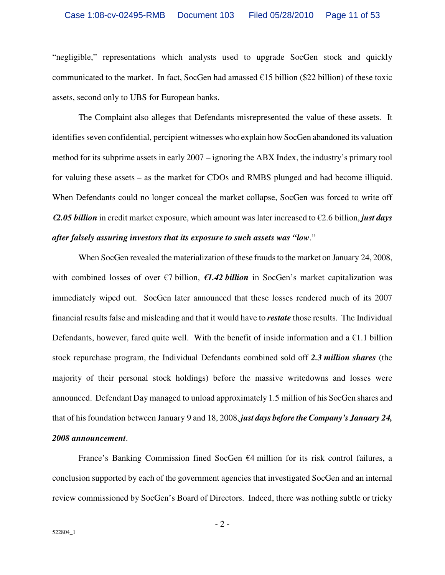"negligible," representations which analysts used to upgrade SocGen stock and quickly communicated to the market. In fact, SocGen had amassed  $\epsilon$ 15 billion (\$22 billion) of these toxic assets, second only to UBS for European banks.

The Complaint also alleges that Defendants misrepresented the value of these assets. It identifies seven confidential, percipient witnesses who explain how SocGen abandoned its valuation method for its subprime assets in early 2007 – ignoring the ABX Index, the industry's primary tool for valuing these assets – as the market for CDOs and RMBS plunged and had become illiquid. When Defendants could no longer conceal the market collapse, SocGen was forced to write off *€2.05 billion* in credit market exposure, which amount was later increased to €2.6 billion, *just days after falsely assuring investors that its exposure to such assets was "low*."

When SocGen revealed the materialization of these frauds to the market on January 24, 2008, with combined losses of over €7 billion, *€1.42 billion* in SocGen's market capitalization was immediately wiped out. SocGen later announced that these losses rendered much of its 2007 financial results false and misleading and that it would have to *restate* those results. The Individual Defendants, however, fared quite well. With the benefit of inside information and a  $\epsilon$ 1.1 billion stock repurchase program, the Individual Defendants combined sold off *2.3 million shares* (the majority of their personal stock holdings) before the massive writedowns and losses were announced. Defendant Day managed to unload approximately 1.5 million of his SocGen shares and that of his foundation between January 9 and 18, 2008, *just days before the Company's January 24, 2008 announcement*.

France's Banking Commission fined SocGen  $\epsilon$ 4 million for its risk control failures, a conclusion supported by each of the government agencies that investigated SocGen and an internal review commissioned by SocGen's Board of Directors. Indeed, there was nothing subtle or tricky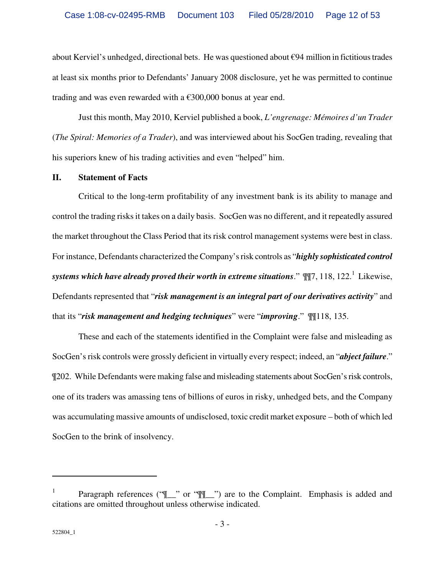about Kerviel's unhedged, directional bets. He was questioned about  $\epsilon$ 94 million in fictitious trades at least six months prior to Defendants' January 2008 disclosure, yet he was permitted to continue trading and was even rewarded with a  $\epsilon$ 300,000 bonus at year end.

Just this month, May 2010, Kerviel published a book, *L'engrenage: Mémoires d'un Trader* (*The Spiral: Memories of a Trader*), and was interviewed about his SocGen trading, revealing that his superiors knew of his trading activities and even "helped" him.

#### **II. Statement of Facts**

Critical to the long-term profitability of any investment bank is its ability to manage and control the trading risks it takes on a daily basis. SocGen was no different, and it repeatedly assured the market throughout the Class Period that its risk control management systems were best in class. For instance, Defendants characterized the Company's risk controls as "*highly sophisticated control*  systems which have already proved their worth in extreme situations."  $\mathbb{I}\mathbb{I}7,118,122.^{1}$  Likewise, Defendants represented that "*risk management is an integral part of our derivatives activity*" and that its "*risk management and hedging techniques*" were "*improving*." ¶¶118, 135.

These and each of the statements identified in the Complaint were false and misleading as SocGen's risk controls were grossly deficient in virtually every respect; indeed, an "*abject failure*." ¶202. While Defendants were making false and misleading statements about SocGen's risk controls, one of its traders was amassing tens of billions of euros in risky, unhedged bets, and the Company was accumulating massive amounts of undisclosed, toxic credit market exposure – both of which led SocGen to the brink of insolvency.

<sup>1</sup> Paragraph references ("[\\_\_" or "\[\[\\_\_"] are to the Complaint. Emphasis is added and citations are omitted throughout unless otherwise indicated.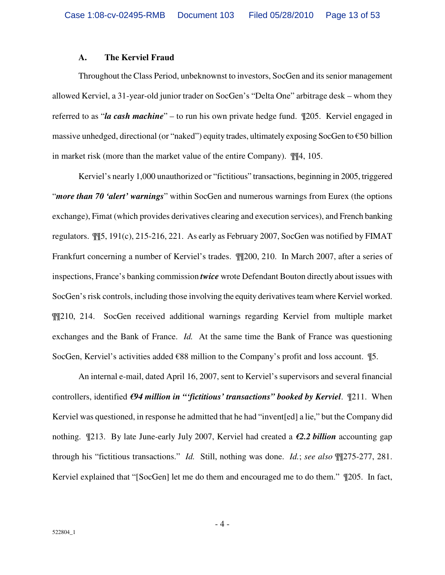#### **A. The Kerviel Fraud**

Throughout the Class Period, unbeknownst to investors, SocGen and its senior management allowed Kerviel, a 31-year-old junior trader on SocGen's "Delta One" arbitrage desk – whom they referred to as "*la cash machine*" – to run his own private hedge fund. ¶205. Kerviel engaged in massive unhedged, directional (or "naked") equity trades, ultimately exposing SocGen to  $\epsilon$ 50 billion in market risk (more than the market value of the entire Company). ¶¶4, 105.

Kerviel's nearly 1,000 unauthorized or "fictitious" transactions, beginning in 2005, triggered "*more than 70 'alert' warnings*" within SocGen and numerous warnings from Eurex (the options exchange), Fimat (which provides derivatives clearing and execution services), and French banking regulators. ¶¶5, 191(c), 215-216, 221. As early as February 2007, SocGen was notified by FIMAT Frankfurt concerning a number of Kerviel's trades. ¶¶200, 210. In March 2007, after a series of inspections, France's banking commission *twice* wrote Defendant Bouton directly about issues with SocGen's risk controls, including those involving the equity derivatives team where Kerviel worked. ¶¶210, 214. SocGen received additional warnings regarding Kerviel from multiple market exchanges and the Bank of France. *Id.* At the same time the Bank of France was questioning SocGen, Kerviel's activities added €88 million to the Company's profit and loss account. ¶5.

An internal e-mail, dated April 16, 2007, sent to Kerviel's supervisors and several financial controllers, identified *€94 million in "'fictitious' transactions" booked by Kerviel*. ¶211. When Kerviel was questioned, in response he admitted that he had "invent[ed] a lie," but the Company did nothing. ¶213. By late June-early July 2007, Kerviel had created a *€2.2 billion* accounting gap through his "fictitious transactions." *Id.* Still, nothing was done. *Id.*; *see also* ¶¶275-277, 281. Kerviel explained that "[SocGen] let me do them and encouraged me to do them." ¶205. In fact,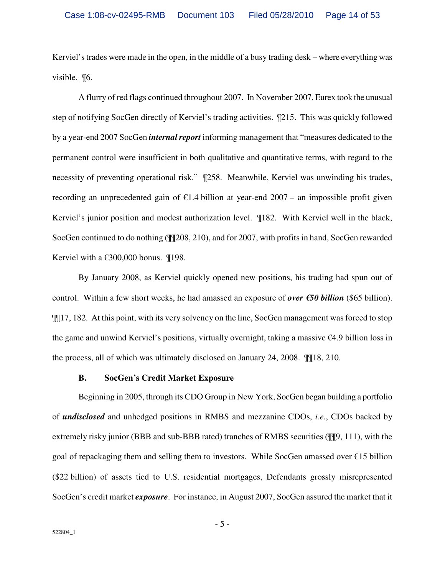Kerviel's trades were made in the open, in the middle of a busy trading desk – where everything was visible. ¶6.

A flurry of red flags continued throughout 2007. In November 2007, Eurex took the unusual step of notifying SocGen directly of Kerviel's trading activities. ¶215. This was quickly followed by a year-end 2007 SocGen *internal report* informing management that "measures dedicated to the permanent control were insufficient in both qualitative and quantitative terms, with regard to the necessity of preventing operational risk." ¶258. Meanwhile, Kerviel was unwinding his trades, recording an unprecedented gain of  $\epsilon$ 1.4 billion at year-end 2007 – an impossible profit given Kerviel's junior position and modest authorization level. ¶182. With Kerviel well in the black, SocGen continued to do nothing (¶¶208, 210), and for 2007, with profits in hand, SocGen rewarded Kerviel with a  $€300,000$  bonus. ¶198.

By January 2008, as Kerviel quickly opened new positions, his trading had spun out of control. Within a few short weeks, he had amassed an exposure of *over €50 billion* (\$65 billion). ¶¶17, 182. At this point, with its very solvency on the line, SocGen management was forced to stop the game and unwind Kerviel's positions, virtually overnight, taking a massive €4.9 billion loss in the process, all of which was ultimately disclosed on January 24, 2008. ¶¶18, 210.

#### **B. SocGen's Credit Market Exposure**

Beginning in 2005, through its CDO Group in New York, SocGen began building a portfolio of *undisclosed* and unhedged positions in RMBS and mezzanine CDOs, *i.e.*, CDOs backed by extremely risky junior (BBB and sub-BBB rated) tranches of RMBS securities (¶¶9, 111), with the goal of repackaging them and selling them to investors. While SocGen amassed over  $\epsilon$ 15 billion (\$22 billion) of assets tied to U.S. residential mortgages, Defendants grossly misrepresented SocGen's credit market *exposure*. For instance, in August 2007, SocGen assured the market that it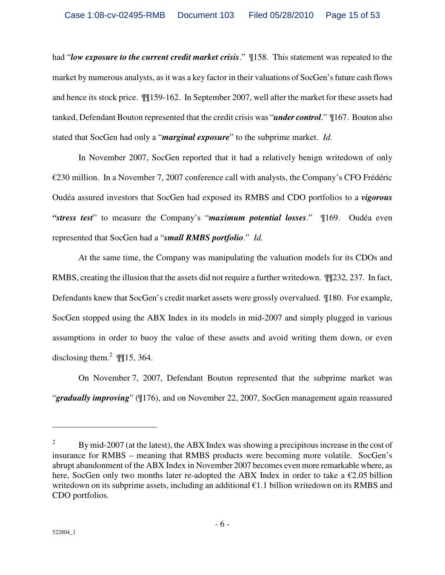had "*low exposure to the current credit market crisis*." ¶158. This statement was repeated to the market by numerous analysts, as it was a key factor in their valuations of SocGen's future cash flows and hence its stock price. ¶¶159-162. In September 2007, well after the market for these assets had tanked, Defendant Bouton represented that the credit crisis was "*under control*." ¶167. Bouton also stated that SocGen had only a "*marginal exposure*" to the subprime market. *Id.*

In November 2007, SocGen reported that it had a relatively benign writedown of only €230 million. In a November 7, 2007 conference call with analysts, the Company's CFO Frédéric Oudéa assured investors that SocGen had exposed its RMBS and CDO portfolios to a *vigorous "stress test*" to measure the Company's "*maximum potential losses*." ¶169. Oudéa even represented that SocGen had a "*small RMBS portfolio*." *Id.* 

At the same time, the Company was manipulating the valuation models for its CDOs and RMBS, creating the illusion that the assets did not require a further writedown. ¶¶232, 237. In fact, Defendants knew that SocGen's credit market assets were grossly overvalued. ¶180. For example, SocGen stopped using the ABX Index in its models in mid-2007 and simply plugged in various assumptions in order to buoy the value of these assets and avoid writing them down, or even disclosing them.<sup>2</sup>  $\mathbb{I}$  [15, 364.

On November 7, 2007, Defendant Bouton represented that the subprime market was "*gradually improving*" (¶176), and on November 22, 2007, SocGen management again reassured

<u>.</u>

<sup>2</sup> By mid-2007 (at the latest), the ABX Index was showing a precipitous increase in the cost of insurance for RMBS – meaning that RMBS products were becoming more volatile. SocGen's abrupt abandonment of the ABX Index in November 2007 becomes even more remarkable where, as here, SocGen only two months later re-adopted the ABX Index in order to take a  $\epsilon$ 2.05 billion writedown on its subprime assets, including an additional €1.1 billion writedown on its RMBS and CDO portfolios.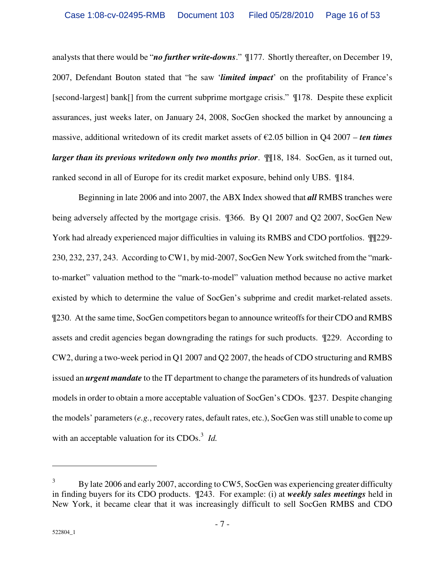analysts that there would be "*no further write-downs*." ¶177. Shortly thereafter, on December 19, 2007, Defendant Bouton stated that "he saw '*limited impact*' on the profitability of France's [second-largest] bank[] from the current subprime mortgage crisis." ¶178. Despite these explicit assurances, just weeks later, on January 24, 2008, SocGen shocked the market by announcing a massive, additional writedown of its credit market assets of €2.05 billion in Q4 2007 – *ten times larger than its previous writedown only two months prior.*  $\mathbb{I}$  [18, 184. SocGen, as it turned out, ranked second in all of Europe for its credit market exposure, behind only UBS. ¶184.

Beginning in late 2006 and into 2007, the ABX Index showed that *all* RMBS tranches were being adversely affected by the mortgage crisis. ¶366. By Q1 2007 and Q2 2007, SocGen New York had already experienced major difficulties in valuing its RMBS and CDO portfolios. ¶¶229- 230, 232, 237, 243. According to CW1, by mid-2007, SocGen New York switched from the "markto-market" valuation method to the "mark-to-model" valuation method because no active market existed by which to determine the value of SocGen's subprime and credit market-related assets. ¶230. At the same time, SocGen competitors began to announce writeoffs for their CDO and RMBS assets and credit agencies began downgrading the ratings for such products. ¶229. According to CW2, during a two-week period in Q1 2007 and Q2 2007, the heads of CDO structuring and RMBS issued an *urgent mandate* to the IT department to change the parameters of its hundreds of valuation models in order to obtain a more acceptable valuation of SocGen's CDOs. ¶237. Despite changing the models' parameters (*e.g.*, recovery rates, default rates, etc.), SocGen was still unable to come up with an acceptable valuation for its CDOs.<sup>3</sup> *Id.* 

<sup>3</sup> By late 2006 and early 2007, according to CW5, SocGen was experiencing greater difficulty in finding buyers for its CDO products. ¶243. For example: (i) at *weekly sales meetings* held in New York, it became clear that it was increasingly difficult to sell SocGen RMBS and CDO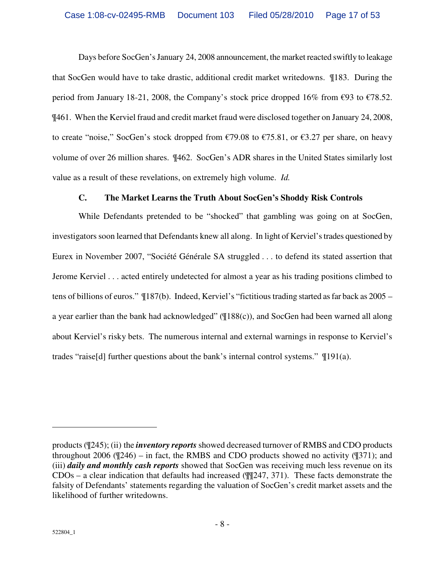Days before SocGen's January 24, 2008 announcement, the market reacted swiftly to leakage that SocGen would have to take drastic, additional credit market writedowns. ¶183. During the period from January 18-21, 2008, the Company's stock price dropped 16% from  $\epsilon$ 93 to  $\epsilon$ 78.52. ¶461. When the Kerviel fraud and credit market fraud were disclosed together on January 24, 2008, to create "noise," SocGen's stock dropped from  $\epsilon$ 79.08 to  $\epsilon$ 75.81, or  $\epsilon$ 3.27 per share, on heavy volume of over 26 million shares. ¶462. SocGen's ADR shares in the United States similarly lost value as a result of these revelations, on extremely high volume. *Id.*

# **C. The Market Learns the Truth About SocGen's Shoddy Risk Controls**

While Defendants pretended to be "shocked" that gambling was going on at SocGen, investigators soon learned that Defendants knew all along. In light of Kerviel's trades questioned by Eurex in November 2007, "Société Générale SA struggled . . . to defend its stated assertion that Jerome Kerviel . . . acted entirely undetected for almost a year as his trading positions climbed to tens of billions of euros." ¶187(b). Indeed, Kerviel's "fictitious trading started as far back as 2005 – a year earlier than the bank had acknowledged" (¶188(c)), and SocGen had been warned all along about Kerviel's risky bets. The numerous internal and external warnings in response to Kerviel's trades "raise<sup>[d]</sup> further questions about the bank's internal control systems."  $\P$ 191(a).

<u>.</u>

products (¶245); (ii) the *inventory reports* showed decreased turnover of RMBS and CDO products throughout 2006 ( $\mathcal{Z}(246)$  – in fact, the RMBS and CDO products showed no activity ( $\mathcal{Z}(371)$ ; and (iii) *daily and monthly cash reports* showed that SocGen was receiving much less revenue on its  $CDOs - a clear indication that defaults had increased (M/247, 371). These facts demonstrate the$ falsity of Defendants' statements regarding the valuation of SocGen's credit market assets and the likelihood of further writedowns.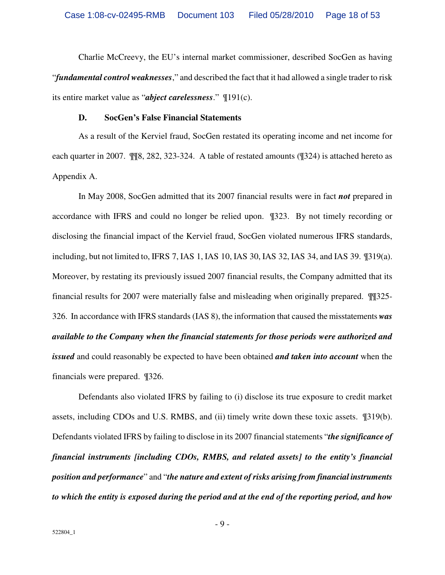Charlie McCreevy, the EU's internal market commissioner, described SocGen as having "*fundamental control weaknesses*," and described the fact that it had allowed a single trader to risk its entire market value as "*abject carelessness*." ¶191(c).

#### **D. SocGen's False Financial Statements**

As a result of the Kerviel fraud, SocGen restated its operating income and net income for each quarter in 2007. ¶¶8, 282, 323-324. A table of restated amounts (¶324) is attached hereto as Appendix A.

In May 2008, SocGen admitted that its 2007 financial results were in fact *not* prepared in accordance with IFRS and could no longer be relied upon. ¶323. By not timely recording or disclosing the financial impact of the Kerviel fraud, SocGen violated numerous IFRS standards, including, but not limited to, IFRS 7, IAS 1, IAS 10, IAS 30, IAS 32, IAS 34, and IAS 39. ¶319(a). Moreover, by restating its previously issued 2007 financial results, the Company admitted that its financial results for 2007 were materially false and misleading when originally prepared. ¶¶325- 326. In accordance with IFRS standards (IAS 8), the information that caused the misstatements *was available to the Company when the financial statements for those periods were authorized and issued* and could reasonably be expected to have been obtained *and taken into account* when the financials were prepared. ¶326.

Defendants also violated IFRS by failing to (i) disclose its true exposure to credit market assets, including CDOs and U.S. RMBS, and (ii) timely write down these toxic assets. ¶319(b). Defendants violated IFRS by failing to disclose in its 2007 financial statements "*the significance of financial instruments [including CDOs, RMBS, and related assets] to the entity's financial position and performance*" and "*the nature and extent of risks arising from financial instruments to which the entity is exposed during the period and at the end of the reporting period, and how*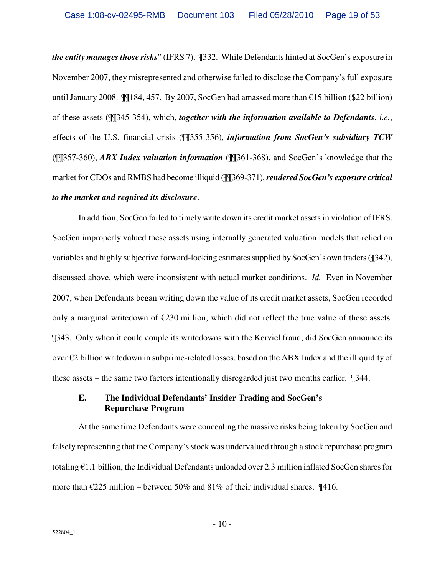*the entity manages those risks*" (IFRS 7). ¶332. While Defendants hinted at SocGen's exposure in November 2007, they misrepresented and otherwise failed to disclose the Company's full exposure until January 2008. ¶¶184, 457. By 2007, SocGen had amassed more than €15 billion (\$22 billion) of these assets (¶¶345-354), which, *together with the information available to Defendants*, *i.e.*, effects of the U.S. financial crisis (¶¶355-356), *information from SocGen's subsidiary TCW* (¶¶357-360), *ABX Index valuation information* (¶¶361-368), and SocGen's knowledge that the market for CDOs and RMBS had become illiquid (¶¶369-371), *rendered SocGen's exposure critical to the market and required its disclosure*.

In addition, SocGen failed to timely write down its credit market assets in violation of IFRS. SocGen improperly valued these assets using internally generated valuation models that relied on variables and highly subjective forward-looking estimates supplied by SocGen's own traders (¶342), discussed above, which were inconsistent with actual market conditions. *Id.* Even in November 2007, when Defendants began writing down the value of its credit market assets, SocGen recorded only a marginal writedown of  $\epsilon$ 230 million, which did not reflect the true value of these assets. ¶343. Only when it could couple its writedowns with the Kerviel fraud, did SocGen announce its over €2 billion writedown in subprime-related losses, based on the ABX Index and the illiquidity of these assets – the same two factors intentionally disregarded just two months earlier. ¶344.

# **E. The Individual Defendants' Insider Trading and SocGen's Repurchase Program**

At the same time Defendants were concealing the massive risks being taken by SocGen and falsely representing that the Company's stock was undervalued through a stock repurchase program totaling €1.1 billion, the Individual Defendants unloaded over 2.3 million inflated SocGen shares for more than  $\epsilon$ 225 million – between 50% and 81% of their individual shares.  $\P$ 416.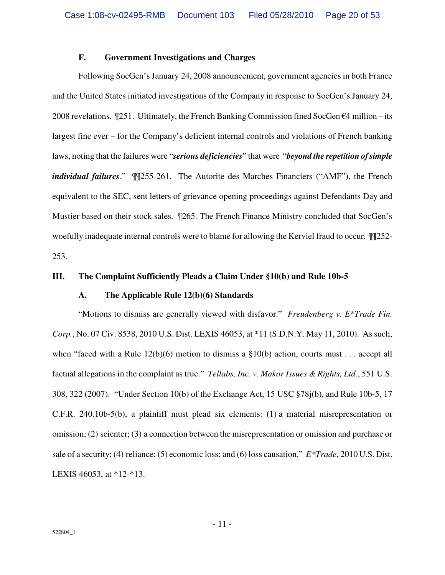## **F. Government Investigations and Charges**

Following SocGen's January 24, 2008 announcement, government agencies in both France and the United States initiated investigations of the Company in response to SocGen's January 24, 2008 revelations.  $\P$ 251. Ultimately, the French Banking Commission fined SocGen  $\epsilon$ 4 million – its largest fine ever – for the Company's deficient internal controls and violations of French banking laws, noting that the failures were "*serious deficiencies*" that were "*beyond the repetition of simple individual failures*." ¶¶255-261. The Autorite des Marches Financiers ("AMF"), the French equivalent to the SEC, sent letters of grievance opening proceedings against Defendants Day and Mustier based on their stock sales. ¶265. The French Finance Ministry concluded that SocGen's woefully inadequate internal controls were to blame for allowing the Kerviel fraud to occur. ¶¶252- 253.

#### **III. The Complaint Sufficiently Pleads a Claim Under §10(b) and Rule 10b-5**

#### **A. The Applicable Rule 12(b)(6) Standards**

"Motions to dismiss are generally viewed with disfavor." *Freudenberg v. E\*Trade Fin. Corp.*, No. 07 Civ. 8538, 2010 U.S. Dist. LEXIS 46053, at \*11 (S.D.N.Y. May 11, 2010). As such, when "faced with a Rule  $12(b)(6)$  motion to dismiss a  $\S10(b)$  action, courts must . . . accept all factual allegations in the complaint as true." *Tellabs, Inc. v. Makor Issues & Rights, Ltd.*, 551 U.S. 308, 322 (2007). "Under Section 10(b) of the Exchange Act, 15 USC §78j(b), and Rule 10b-5, 17 C.F.R. 240.10b-5(b), a plaintiff must plead six elements: (1) a material misrepresentation or omission; (2) scienter; (3) a connection between the misrepresentation or omission and purchase or sale of a security; (4) reliance; (5) economic loss; and (6) loss causation." *E\*Trade*, 2010 U.S. Dist. LEXIS 46053, at \*12-\*13.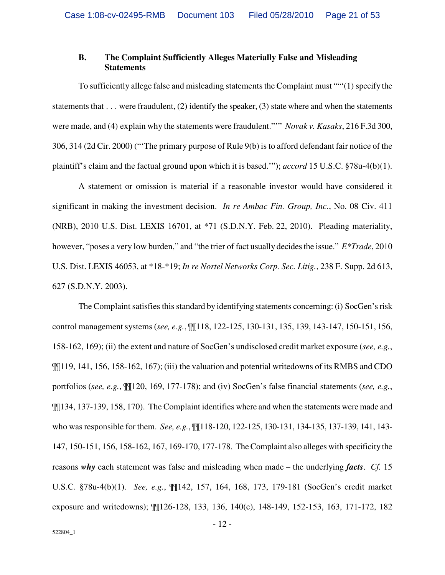## **B. The Complaint Sufficiently Alleges Materially False and Misleading Statements**

To sufficiently allege false and misleading statements the Complaint must ""'(1) specify the statements that  $\dots$  were fraudulent, (2) identify the speaker, (3) state where and when the statements were made, and (4) explain why the statements were fraudulent."'" *Novak v. Kasaks*, 216 F.3d 300, 306, 314 (2d Cir. 2000) ("'The primary purpose of Rule 9(b) is to afford defendant fair notice of the plaintiff's claim and the factual ground upon which it is based.'"); *accord* 15 U.S.C. §78u-4(b)(1).

A statement or omission is material if a reasonable investor would have considered it significant in making the investment decision. *In re Ambac Fin. Group, Inc.*, No. 08 Civ. 411 (NRB), 2010 U.S. Dist. LEXIS 16701, at \*71 (S.D.N.Y. Feb. 22, 2010). Pleading materiality, however, "poses a very low burden," and "the trier of fact usually decides the issue." *E\*Trade*, 2010 U.S. Dist. LEXIS 46053, at \*18-\*19; *In re Nortel Networks Corp. Sec. Litig.*, 238 F. Supp. 2d 613, 627 (S.D.N.Y. 2003).

The Complaint satisfies this standard by identifying statements concerning: (i) SocGen's risk control management systems (*see, e.g.*, ¶¶118, 122-125, 130-131, 135, 139, 143-147, 150-151, 156, 158-162, 169); (ii) the extent and nature of SocGen's undisclosed credit market exposure (*see, e.g.*,  $\P$ [119, 141, 156, 158-162, 167); (iii) the valuation and potential writedowns of its RMBS and CDO portfolios (*see, e.g.*, ¶¶120, 169, 177-178); and (iv) SocGen's false financial statements (*see, e.g.*, ¶¶134, 137-139, 158, 170). The Complaint identifies where and when the statements were made and who was responsible for them. *See, e.g.*, ¶¶118-120, 122-125, 130-131, 134-135, 137-139, 141, 143- 147, 150-151, 156, 158-162, 167, 169-170, 177-178. The Complaint also alleges with specificity the reasons *why* each statement was false and misleading when made – the underlying *facts*. *Cf.* 15 U.S.C. §78u-4(b)(1). *See, e.g.*, ¶¶142, 157, 164, 168, 173, 179-181 (SocGen's credit market exposure and writedowns); ¶¶126-128, 133, 136, 140(c), 148-149, 152-153, 163, 171-172, 182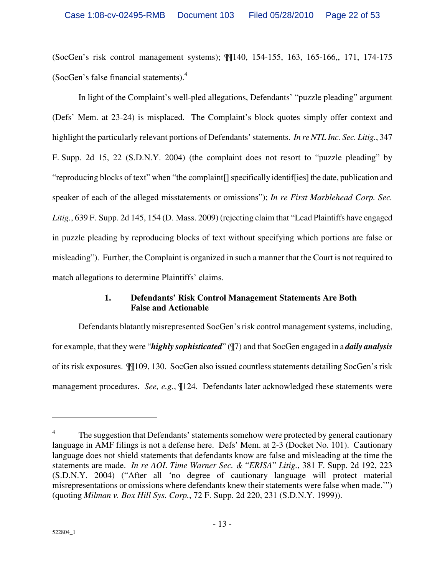(SocGen's risk control management systems); ¶¶140, 154-155, 163, 165-166,, 171, 174-175 (SocGen's false financial statements).<sup>4</sup>

In light of the Complaint's well-pled allegations, Defendants' "puzzle pleading" argument (Defs' Mem. at 23-24) is misplaced. The Complaint's block quotes simply offer context and highlight the particularly relevant portions of Defendants' statements. *In re NTL Inc. Sec. Litig.*, 347 F. Supp. 2d 15, 22 (S.D.N.Y. 2004) (the complaint does not resort to "puzzle pleading" by "reproducing blocks of text" when "the complaint[] specifically identif[ies] the date, publication and speaker of each of the alleged misstatements or omissions"); *In re First Marblehead Corp. Sec. Litig.*, 639 F. Supp. 2d 145, 154 (D. Mass. 2009) (rejecting claim that "Lead Plaintiffs have engaged in puzzle pleading by reproducing blocks of text without specifying which portions are false or misleading"). Further, the Complaint is organized in such a manner that the Court is not required to match allegations to determine Plaintiffs' claims.

# **1. Defendants' Risk Control Management Statements Are Both False and Actionable**

Defendants blatantly misrepresented SocGen's risk control management systems, including, for example, that they were "*highly sophisticated*" (¶7) and that SocGen engaged in a *daily analysis* of its risk exposures. ¶¶109, 130. SocGen also issued countless statements detailing SocGen's risk management procedures. *See, e.g.*, ¶124. Defendants later acknowledged these statements were

<sup>4</sup> The suggestion that Defendants' statements somehow were protected by general cautionary language in AMF filings is not a defense here. Defs' Mem. at 2-3 (Docket No. 101). Cautionary language does not shield statements that defendants know are false and misleading at the time the statements are made. *In re AOL Time Warner Sec. &* "*ERISA*" *Litig.*, 381 F. Supp. 2d 192, 223 (S.D.N.Y. 2004) ("After all 'no degree of cautionary language will protect material misrepresentations or omissions where defendants knew their statements were false when made.'") (quoting *Milman v. Box Hill Sys. Corp.*, 72 F. Supp. 2d 220, 231 (S.D.N.Y. 1999)).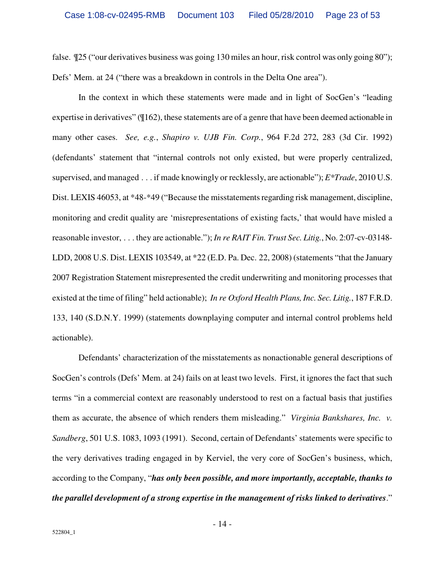false.  $\mathcal{Z}$ 5 ("our derivatives business was going 130 miles an hour, risk control was only going 80"); Defs' Mem. at 24 ("there was a breakdown in controls in the Delta One area").

In the context in which these statements were made and in light of SocGen's "leading expertise in derivatives" (¶162), these statements are of a genre that have been deemed actionable in many other cases. *See, e.g.*, *Shapiro v. UJB Fin. Corp.*, 964 F.2d 272, 283 (3d Cir. 1992) (defendants' statement that "internal controls not only existed, but were properly centralized, supervised, and managed . . . if made knowingly or recklessly, are actionable"); *E\*Trade*, 2010 U.S. Dist. LEXIS 46053, at \*48-\*49 ("Because the misstatements regarding risk management, discipline, monitoring and credit quality are 'misrepresentations of existing facts,' that would have misled a reasonable investor, . . . they are actionable."); *In re RAIT Fin. Trust Sec. Litig.*, No. 2:07-cv-03148- LDD, 2008 U.S. Dist. LEXIS 103549, at \*22 (E.D. Pa. Dec. 22, 2008) (statements "that the January 2007 Registration Statement misrepresented the credit underwriting and monitoring processes that existed at the time of filing" held actionable); *In re Oxford Health Plans, Inc. Sec. Litig.*, 187 F.R.D. 133, 140 (S.D.N.Y. 1999) (statements downplaying computer and internal control problems held actionable).

Defendants' characterization of the misstatements as nonactionable general descriptions of SocGen's controls (Defs' Mem. at 24) fails on at least two levels. First, it ignores the fact that such terms "in a commercial context are reasonably understood to rest on a factual basis that justifies them as accurate, the absence of which renders them misleading." *Virginia Bankshares, Inc. v. Sandberg*, 501 U.S. 1083, 1093 (1991). Second, certain of Defendants' statements were specific to the very derivatives trading engaged in by Kerviel, the very core of SocGen's business, which, according to the Company, "*has only been possible, and more importantly, acceptable, thanks to the parallel development of a strong expertise in the management of risks linked to derivatives*."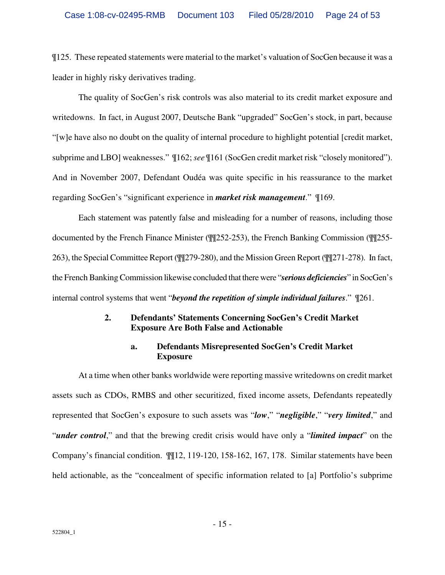¶125. These repeated statements were material to the market's valuation of SocGen because it was a leader in highly risky derivatives trading.

The quality of SocGen's risk controls was also material to its credit market exposure and writedowns. In fact, in August 2007, Deutsche Bank "upgraded" SocGen's stock, in part, because "[w]e have also no doubt on the quality of internal procedure to highlight potential [credit market, subprime and LBO] weaknesses." ¶162; *see* ¶161 (SocGen credit market risk "closely monitored"). And in November 2007, Defendant Oudéa was quite specific in his reassurance to the market regarding SocGen's "significant experience in *market risk management*." ¶169.

Each statement was patently false and misleading for a number of reasons, including those documented by the French Finance Minister (¶¶252-253), the French Banking Commission (¶¶255- 263), the Special Committee Report (¶¶279-280), and the Mission Green Report (¶¶271-278). In fact, the French Banking Commission likewise concluded that there were "*serious deficiencies*" in SocGen's internal control systems that went "*beyond the repetition of simple individual failures*." ¶261.

# **2. Defendants' Statements Concerning SocGen's Credit Market Exposure Are Both False and Actionable**

# **a. Defendants Misrepresented SocGen's Credit Market Exposure**

At a time when other banks worldwide were reporting massive writedowns on credit market assets such as CDOs, RMBS and other securitized, fixed income assets, Defendants repeatedly represented that SocGen's exposure to such assets was "*low*," "*negligible*," "*very limited*," and "*under control*," and that the brewing credit crisis would have only a "*limited impact*" on the Company's financial condition. ¶¶12, 119-120, 158-162, 167, 178. Similar statements have been held actionable, as the "concealment of specific information related to [a] Portfolio's subprime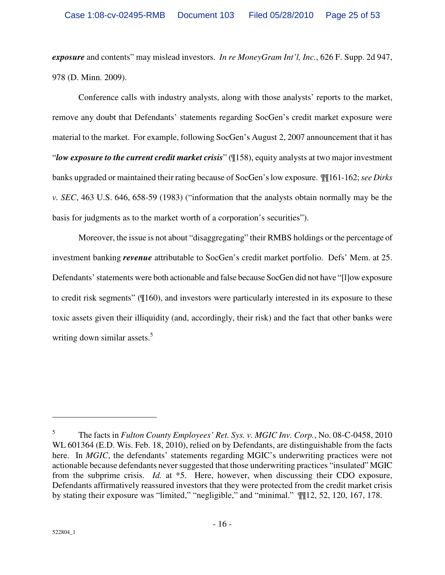*exposure* and contents" may mislead investors. *In re MoneyGram Int'l, Inc.*, 626 F. Supp. 2d 947, 978 (D. Minn. 2009).

Conference calls with industry analysts, along with those analysts' reports to the market, remove any doubt that Defendants' statements regarding SocGen's credit market exposure were material to the market. For example, following SocGen's August 2, 2007 announcement that it has "*low exposure to the current credit market crisis*" (¶158), equity analysts at two major investment banks upgraded or maintained their rating because of SocGen's low exposure. ¶¶161-162; *see Dirks v. SEC*, 463 U.S. 646, 658-59 (1983) ("information that the analysts obtain normally may be the basis for judgments as to the market worth of a corporation's securities").

Moreover, the issue is not about "disaggregating" their RMBS holdings or the percentage of investment banking *revenue* attributable to SocGen's credit market portfolio. Defs' Mem. at 25. Defendants' statements were both actionable and false because SocGen did not have "[l]ow exposure to credit risk segments" (¶160), and investors were particularly interested in its exposure to these toxic assets given their illiquidity (and, accordingly, their risk) and the fact that other banks were writing down similar assets.<sup>5</sup>

 $\overline{a}$ 

<sup>5</sup> The facts in *Fulton County Employees' Ret. Sys. v. MGIC Inv. Corp.*, No. 08-C-0458, 2010 WL 601364 (E.D. Wis. Feb. 18, 2010), relied on by Defendants, are distinguishable from the facts here. In *MGIC*, the defendants' statements regarding MGIC's underwriting practices were not actionable because defendants never suggested that those underwriting practices "insulated" MGIC from the subprime crisis. *Id.* at \*5. Here, however, when discussing their CDO exposure, Defendants affirmatively reassured investors that they were protected from the credit market crisis by stating their exposure was "limited," "negligible," and "minimal." ¶¶12, 52, 120, 167, 178.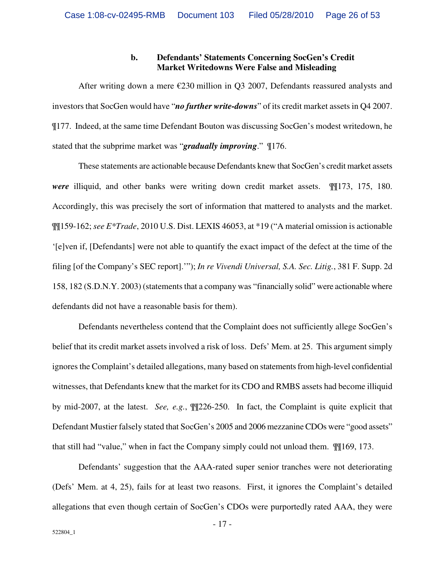#### **b. Defendants' Statements Concerning SocGen's Credit Market Writedowns Were False and Misleading**

After writing down a mere  $\epsilon$ 230 million in Q3 2007, Defendants reassured analysts and investors that SocGen would have "*no further write-downs*" of its credit market assets in Q4 2007. ¶177. Indeed, at the same time Defendant Bouton was discussing SocGen's modest writedown, he stated that the subprime market was "*gradually improving*." ¶176.

These statements are actionable because Defendants knew that SocGen's credit market assets *were* illiquid, and other banks were writing down credit market assets. ¶¶173, 175, 180. Accordingly, this was precisely the sort of information that mattered to analysts and the market. ¶¶159-162; *see E\*Trade*, 2010 U.S. Dist. LEXIS 46053, at \*19 ("A material omission is actionable '[e]ven if, [Defendants] were not able to quantify the exact impact of the defect at the time of the filing [of the Company's SEC report].'"); *In re Vivendi Universal, S.A. Sec. Litig.*, 381 F. Supp. 2d 158, 182 (S.D.N.Y. 2003) (statements that a company was "financially solid" were actionable where defendants did not have a reasonable basis for them).

Defendants nevertheless contend that the Complaint does not sufficiently allege SocGen's belief that its credit market assets involved a risk of loss. Defs' Mem. at 25. This argument simply ignores the Complaint's detailed allegations, many based on statements from high-level confidential witnesses, that Defendants knew that the market for its CDO and RMBS assets had become illiquid by mid-2007, at the latest. *See, e.g.*, ¶¶226-250. In fact, the Complaint is quite explicit that Defendant Mustier falsely stated that SocGen's 2005 and 2006 mezzanine CDOs were "good assets" that still had "value," when in fact the Company simply could not unload them. ¶¶169, 173.

Defendants' suggestion that the AAA-rated super senior tranches were not deteriorating (Defs' Mem. at 4, 25), fails for at least two reasons. First, it ignores the Complaint's detailed allegations that even though certain of SocGen's CDOs were purportedly rated AAA, they were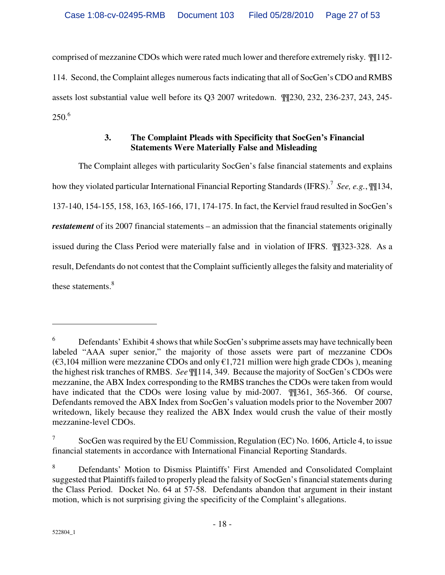comprised of mezzanine CDOs which were rated much lower and therefore extremely risky. ¶¶112- 114. Second, the Complaint alleges numerous facts indicating that all of SocGen's CDO and RMBS assets lost substantial value well before its Q3 2007 writedown. ¶¶230, 232, 236-237, 243, 245-  $250^{6}$ 

# **3. The Complaint Pleads with Specificity that SocGen's Financial Statements Were Materially False and Misleading**

The Complaint alleges with particularity SocGen's false financial statements and explains how they violated particular International Financial Reporting Standards (IFRS).<sup>7</sup> *See, e.g.*, ¶¶134, 137-140, 154-155, 158, 163, 165-166, 171, 174-175. In fact, the Kerviel fraud resulted in SocGen's *restatement* of its 2007 financial statements – an admission that the financial statements originally issued during the Class Period were materially false and in violation of IFRS. ¶¶323-328. As a result, Defendants do not contest that the Complaint sufficiently alleges the falsity and materiality of these statements.<sup>8</sup>

<sup>6</sup> Defendants' Exhibit 4 shows that while SocGen's subprime assets may have technically been labeled "AAA super senior," the majority of those assets were part of mezzanine CDOs  $(\text{\textsterling}3,104 \text{ million were mezzanine CDOs and only } \text{\textsterling}1,721 \text{ million were high grade CDOs }$ , meaning the highest risk tranches of RMBS. *See* ¶¶114, 349. Because the majority of SocGen's CDOs were mezzanine, the ABX Index corresponding to the RMBS tranches the CDOs were taken from would have indicated that the CDOs were losing value by mid-2007.  $\P$  [361, 365-366. Of course, Defendants removed the ABX Index from SocGen's valuation models prior to the November 2007 writedown, likely because they realized the ABX Index would crush the value of their mostly mezzanine-level CDOs.

<sup>7</sup> SocGen was required by the EU Commission, Regulation (EC) No. 1606, Article 4, to issue financial statements in accordance with International Financial Reporting Standards.

<sup>8</sup> Defendants' Motion to Dismiss Plaintiffs' First Amended and Consolidated Complaint suggested that Plaintiffs failed to properly plead the falsity of SocGen's financial statements during the Class Period. Docket No. 64 at 57-58. Defendants abandon that argument in their instant motion, which is not surprising giving the specificity of the Complaint's allegations.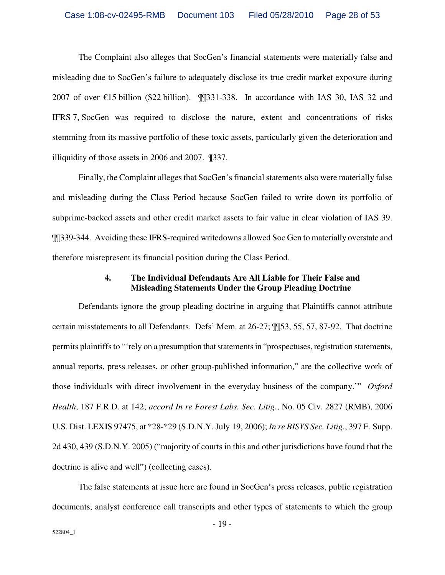The Complaint also alleges that SocGen's financial statements were materially false and misleading due to SocGen's failure to adequately disclose its true credit market exposure during 2007 of over  $\epsilon$ 15 billion (\$22 billion). ¶¶331-338. In accordance with IAS 30, IAS 32 and IFRS 7, SocGen was required to disclose the nature, extent and concentrations of risks stemming from its massive portfolio of these toxic assets, particularly given the deterioration and illiquidity of those assets in 2006 and 2007. ¶337.

Finally, the Complaint alleges that SocGen's financial statements also were materially false and misleading during the Class Period because SocGen failed to write down its portfolio of subprime-backed assets and other credit market assets to fair value in clear violation of IAS 39. ¶¶339-344. Avoiding these IFRS-required writedowns allowed Soc Gen to materially overstate and therefore misrepresent its financial position during the Class Period.

#### **4. The Individual Defendants Are All Liable for Their False and Misleading Statements Under the Group Pleading Doctrine**

Defendants ignore the group pleading doctrine in arguing that Plaintiffs cannot attribute certain misstatements to all Defendants. Defs' Mem. at 26-27; ¶¶53, 55, 57, 87-92. That doctrine permits plaintiffs to "'rely on a presumption that statements in "prospectuses, registration statements, annual reports, press releases, or other group-published information," are the collective work of those individuals with direct involvement in the everyday business of the company.'" *Oxford Health*, 187 F.R.D. at 142; *accord In re Forest Labs. Sec. Litig.*, No. 05 Civ. 2827 (RMB), 2006 U.S. Dist. LEXIS 97475, at \*28-\*29 (S.D.N.Y. July 19, 2006); *In re BISYS Sec. Litig.*, 397 F. Supp. 2d 430, 439 (S.D.N.Y. 2005) ("majority of courts in this and other jurisdictions have found that the doctrine is alive and well") (collecting cases).

The false statements at issue here are found in SocGen's press releases, public registration documents, analyst conference call transcripts and other types of statements to which the group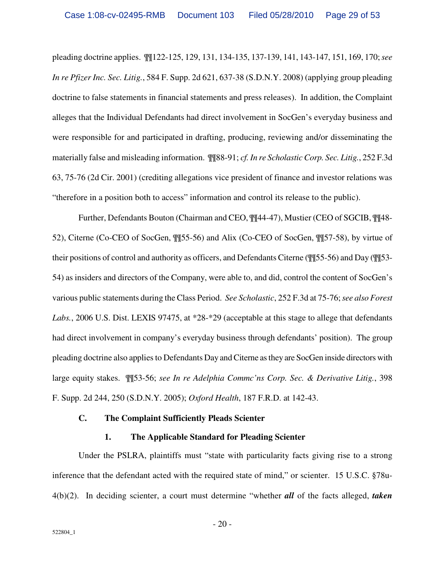pleading doctrine applies. ¶¶122-125, 129, 131, 134-135, 137-139, 141, 143-147, 151, 169, 170; *see In re Pfizer Inc. Sec. Litig.*, 584 F. Supp. 2d 621, 637-38 (S.D.N.Y. 2008) (applying group pleading doctrine to false statements in financial statements and press releases). In addition, the Complaint alleges that the Individual Defendants had direct involvement in SocGen's everyday business and were responsible for and participated in drafting, producing, reviewing and/or disseminating the materially false and misleading information. ¶¶88-91; *cf. In re Scholastic Corp. Sec. Litig.*, 252 F.3d 63, 75-76 (2d Cir. 2001) (crediting allegations vice president of finance and investor relations was "therefore in a position both to access" information and control its release to the public).

Further, Defendants Bouton (Chairman and CEO, ¶¶44-47), Mustier (CEO of SGCIB, ¶¶48- 52), Citerne (Co-CEO of SocGen, ¶¶55-56) and Alix (Co-CEO of SocGen, ¶¶57-58), by virtue of their positions of control and authority as officers, and Defendants Citerne (¶¶55-56) and Day (¶¶53- 54) as insiders and directors of the Company, were able to, and did, control the content of SocGen's various public statements during the Class Period. *See Scholastic*, 252 F.3d at 75-76; *see also Forest*  Labs., 2006 U.S. Dist. LEXIS 97475, at  $*28-*29$  (acceptable at this stage to allege that defendants had direct involvement in company's everyday business through defendants' position). The group pleading doctrine also applies to Defendants Day and Citerne as they are SocGen inside directors with large equity stakes. ¶¶53-56; *see In re Adelphia Commc'ns Corp. Sec. & Derivative Litig.*, 398 F. Supp. 2d 244, 250 (S.D.N.Y. 2005); *Oxford Health*, 187 F.R.D. at 142-43.

#### **C. The Complaint Sufficiently Pleads Scienter**

#### **1. The Applicable Standard for Pleading Scienter**

Under the PSLRA, plaintiffs must "state with particularity facts giving rise to a strong inference that the defendant acted with the required state of mind," or scienter. 15 U.S.C. §78u-4(b)(2). In deciding scienter, a court must determine "whether *all* of the facts alleged, *taken*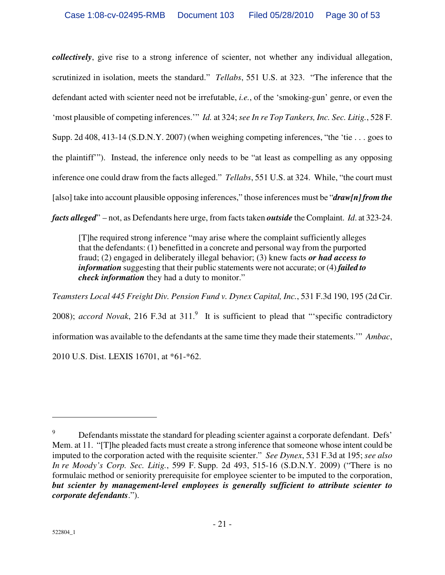*collectively*, give rise to a strong inference of scienter, not whether any individual allegation, scrutinized in isolation, meets the standard." *Tellabs*, 551 U.S. at 323. "The inference that the defendant acted with scienter need not be irrefutable, *i.e.*, of the 'smoking-gun' genre, or even the 'most plausible of competing inferences.'" *Id.* at 324; *see In re Top Tankers, Inc. Sec. Litig.*, 528 F. Supp. 2d 408, 413-14 (S.D.N.Y. 2007) (when weighing competing inferences, "the 'tie . . . goes to the plaintiff'"). Instead, the inference only needs to be "at least as compelling as any opposing inference one could draw from the facts alleged." *Tellabs*, 551 U.S. at 324. While, "the court must [also] take into account plausible opposing inferences," those inferences must be "*draw[n] from the facts alleged*" – not, as Defendants here urge, from facts taken *outside* the Complaint. *Id*. at 323-24.

[T]he required strong inference "may arise where the complaint sufficiently alleges that the defendants: (1) benefitted in a concrete and personal way from the purported fraud; (2) engaged in deliberately illegal behavior; (3) knew facts *or had access to information* suggesting that their public statements were not accurate; or (4) *failed to check information* they had a duty to monitor."

*Teamsters Local 445 Freight Div. Pension Fund v. Dynex Capital, Inc.*, 531 F.3d 190, 195 (2d Cir. 2008); *accord Novak*, 216 F.3d at 311.<sup>9</sup> It is sufficient to plead that "specific contradictory information was available to the defendants at the same time they made their statements.'" *Ambac*, 2010 U.S. Dist. LEXIS 16701, at \*61-\*62.

 $\overline{a}$ 

<sup>9</sup> Defendants misstate the standard for pleading scienter against a corporate defendant. Defs' Mem. at 11. "[T]he pleaded facts must create a strong inference that someone whose intent could be imputed to the corporation acted with the requisite scienter." *See Dynex*, 531 F.3d at 195; *see also In re Moody's Corp. Sec. Litig.*, 599 F. Supp. 2d 493, 515-16 (S.D.N.Y. 2009) ("There is no formulaic method or seniority prerequisite for employee scienter to be imputed to the corporation, *but scienter by management-level employees is generally sufficient to attribute scienter to corporate defendants*.").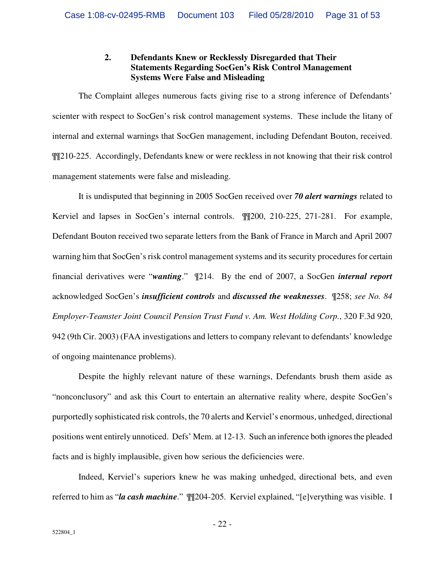## **2. Defendants Knew or Recklessly Disregarded that Their Statements Regarding SocGen's Risk Control Management Systems Were False and Misleading**

The Complaint alleges numerous facts giving rise to a strong inference of Defendants' scienter with respect to SocGen's risk control management systems. These include the litany of internal and external warnings that SocGen management, including Defendant Bouton, received. ¶¶210-225. Accordingly, Defendants knew or were reckless in not knowing that their risk control management statements were false and misleading.

It is undisputed that beginning in 2005 SocGen received over *70 alert warnings* related to Kerviel and lapses in SocGen's internal controls. ¶¶200, 210-225, 271-281. For example, Defendant Bouton received two separate letters from the Bank of France in March and April 2007 warning him that SocGen's risk control management systems and its security procedures for certain financial derivatives were "*wanting*." ¶214. By the end of 2007, a SocGen *internal report* acknowledged SocGen's *insufficient controls* and *discussed the weaknesses*. ¶258; *see No. 84 Employer-Teamster Joint Council Pension Trust Fund v. Am. West Holding Corp.*, 320 F.3d 920, 942 (9th Cir. 2003) (FAA investigations and letters to company relevant to defendants' knowledge of ongoing maintenance problems).

Despite the highly relevant nature of these warnings, Defendants brush them aside as "nonconclusory" and ask this Court to entertain an alternative reality where, despite SocGen's purportedly sophisticated risk controls, the 70 alerts and Kerviel's enormous, unhedged, directional positions went entirely unnoticed. Defs' Mem. at 12-13. Such an inference both ignores the pleaded facts and is highly implausible, given how serious the deficiencies were.

Indeed, Kerviel's superiors knew he was making unhedged, directional bets, and even referred to him as "*la cash machine*." ¶¶204-205. Kerviel explained, "[e]verything was visible. I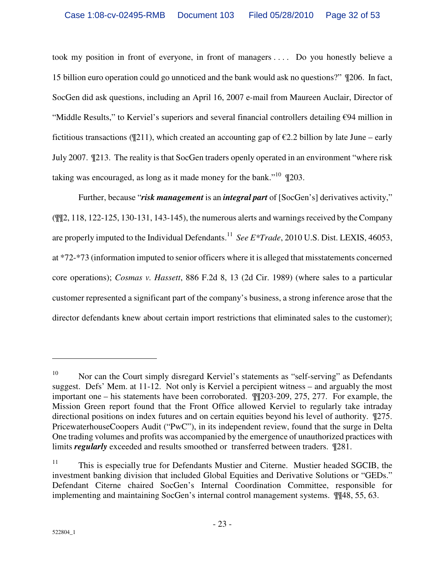took my position in front of everyone, in front of managers . . . . Do you honestly believe a 15 billion euro operation could go unnoticed and the bank would ask no questions?" ¶206. In fact, SocGen did ask questions, including an April 16, 2007 e-mail from Maureen Auclair, Director of "Middle Results," to Kerviel's superiors and several financial controllers detailing €94 million in fictitious transactions ( $\mathcal{Z}$ 11), which created an accounting gap of  $\mathcal{Z}$ . 2 billion by late June – early July 2007. ¶213. The reality is that SocGen traders openly operated in an environment "where risk taking was encouraged, as long as it made money for the bank."<sup>10</sup> ¶203.

Further, because "*risk management* is an *integral part* of [SocGen's] derivatives activity," (¶¶2, 118, 122-125, 130-131, 143-145), the numerous alerts and warnings received by the Company are properly imputed to the Individual Defendants.<sup>11</sup> See E\*Trade, 2010 U.S. Dist. LEXIS, 46053, at \*72-\*73 (information imputed to senior officers where it is alleged that misstatements concerned core operations); *Cosmas v. Hassett*, 886 F.2d 8, 13 (2d Cir. 1989) (where sales to a particular customer represented a significant part of the company's business, a strong inference arose that the director defendants knew about certain import restrictions that eliminated sales to the customer);

 $\overline{a}$ 

<sup>&</sup>lt;sup>10</sup> Nor can the Court simply disregard Kerviel's statements as "self-serving" as Defendants suggest. Defs' Mem. at 11-12. Not only is Kerviel a percipient witness – and arguably the most important one – his statements have been corroborated. ¶¶203-209, 275, 277. For example, the Mission Green report found that the Front Office allowed Kerviel to regularly take intraday directional positions on index futures and on certain equities beyond his level of authority. ¶275. PricewaterhouseCoopers Audit ("PwC"), in its independent review, found that the surge in Delta One trading volumes and profits was accompanied by the emergence of unauthorized practices with limits *regularly* exceeded and results smoothed or transferred between traders. ¶281.

<sup>&</sup>lt;sup>11</sup> This is especially true for Defendants Mustier and Citerne. Mustier headed SGCIB, the investment banking division that included Global Equities and Derivative Solutions or "GEDs." Defendant Citerne chaired SocGen's Internal Coordination Committee, responsible for implementing and maintaining SocGen's internal control management systems.  $\P$ [48, 55, 63.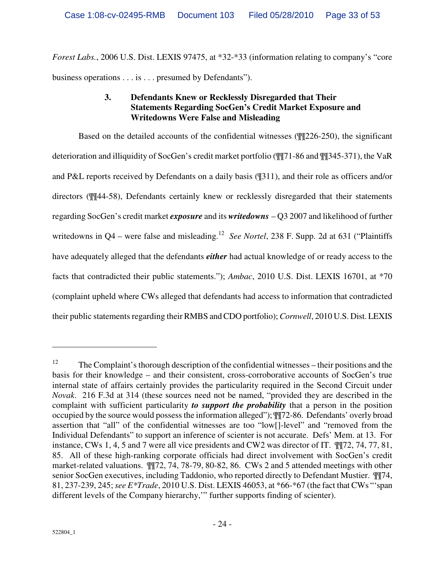*Forest Labs.*, 2006 U.S. Dist. LEXIS 97475, at \*32-\*33 (information relating to company's "core business operations . . . is . . . presumed by Defendants").

# **3. Defendants Knew or Recklessly Disregarded that Their Statements Regarding SocGen's Credit Market Exposure and Writedowns Were False and Misleading**

Based on the detailed accounts of the confidential witnesses (¶¶226-250), the significant deterioration and illiquidity of SocGen's credit market portfolio (¶¶71-86 and ¶¶345-371), the VaR and P&L reports received by Defendants on a daily basis (¶311), and their role as officers and/or directors (¶¶44-58), Defendants certainly knew or recklessly disregarded that their statements regarding SocGen's credit market *exposure* and its *writedowns* – Q3 2007 and likelihood of further writedowns in Q4 – were false and misleading.<sup>12</sup> See Nortel, 238 F. Supp. 2d at 631 ("Plaintiffs have adequately alleged that the defendants *either* had actual knowledge of or ready access to the facts that contradicted their public statements."); *Ambac*, 2010 U.S. Dist. LEXIS 16701, at \*70 (complaint upheld where CWs alleged that defendants had access to information that contradicted their public statements regarding their RMBS and CDO portfolio); *Cornwell*, 2010 U.S. Dist. LEXIS

<u>.</u>

 $12$  The Complaint's thorough description of the confidential witnesses – their positions and the basis for their knowledge – and their consistent, cross-corroborative accounts of SocGen's true internal state of affairs certainly provides the particularity required in the Second Circuit under *Novak*. 216 F.3d at 314 (these sources need not be named, "provided they are described in the complaint with sufficient particularity *to support the probability* that a person in the position occupied by the source would possess the information alleged"); ¶¶72-86. Defendants' overly broad assertion that "all" of the confidential witnesses are too "low[]-level" and "removed from the Individual Defendants" to support an inference of scienter is not accurate. Defs' Mem. at 13. For instance, CWs 1, 4, 5 and 7 were all vice presidents and CW2 was director of IT. ¶¶72, 74, 77, 81, 85. All of these high-ranking corporate officials had direct involvement with SocGen's credit market-related valuations. ¶¶72, 74, 78-79, 80-82, 86. CWs 2 and 5 attended meetings with other senior SocGen executives, including Taddonio, who reported directly to Defendant Mustier. ¶¶74, 81, 237-239, 245; *see E\*Trade*, 2010 U.S. Dist. LEXIS 46053, at \*66-\*67 (the fact that CWs "'span different levels of the Company hierarchy,'" further supports finding of scienter).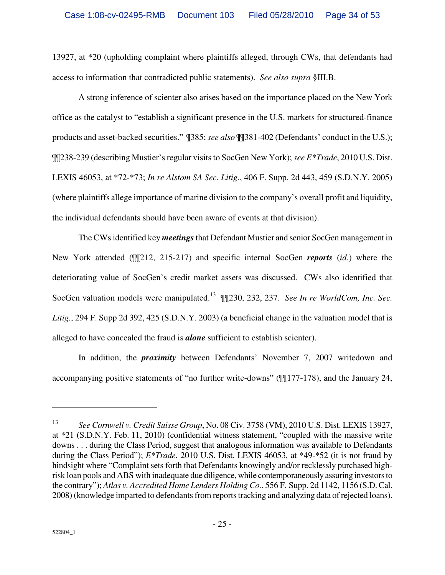13927, at \*20 (upholding complaint where plaintiffs alleged, through CWs, that defendants had access to information that contradicted public statements). *See also supra* §III.B.

A strong inference of scienter also arises based on the importance placed on the New York office as the catalyst to "establish a significant presence in the U.S. markets for structured-finance products and asset-backed securities." ¶385; *see also* ¶¶381-402 (Defendants' conduct in the U.S.); ¶¶238-239 (describing Mustier's regular visits to SocGen New York); *see E\*Trade*, 2010 U.S. Dist. LEXIS 46053, at \*72-\*73; *In re Alstom SA Sec. Litig.*, 406 F. Supp. 2d 443, 459 (S.D.N.Y. 2005) (where plaintiffs allege importance of marine division to the company's overall profit and liquidity, the individual defendants should have been aware of events at that division).

The CWs identified key *meetings*that Defendant Mustier and senior SocGen management in New York attended (¶¶212, 215-217) and specific internal SocGen *reports* (*id.*) where the deteriorating value of SocGen's credit market assets was discussed. CWs also identified that SocGen valuation models were manipulated.<sup>13</sup> ¶¶230, 232, 237. *See In re WorldCom, Inc. Sec. Litig.*, 294 F. Supp 2d 392, 425 (S.D.N.Y. 2003) (a beneficial change in the valuation model that is alleged to have concealed the fraud is *alone* sufficient to establish scienter).

In addition, the *proximity* between Defendants' November 7, 2007 writedown and accompanying positive statements of "no further write-downs" (¶¶177-178), and the January 24,

<sup>13</sup> *See Cornwell v. Credit Suisse Group*, No. 08 Civ. 3758 (VM), 2010 U.S. Dist. LEXIS 13927, at \*21 (S.D.N.Y. Feb. 11, 2010) (confidential witness statement, "coupled with the massive write downs . . . during the Class Period, suggest that analogous information was available to Defendants during the Class Period"); *E\*Trade*, 2010 U.S. Dist. LEXIS 46053, at \*49-\*52 (it is not fraud by hindsight where "Complaint sets forth that Defendants knowingly and/or recklessly purchased highrisk loan pools and ABS with inadequate due diligence, while contemporaneously assuring investors to the contrary"); *Atlas v. Accredited Home Lenders Holding Co.*, 556 F. Supp. 2d 1142, 1156 (S.D. Cal. 2008) (knowledge imparted to defendants from reports tracking and analyzing data of rejected loans).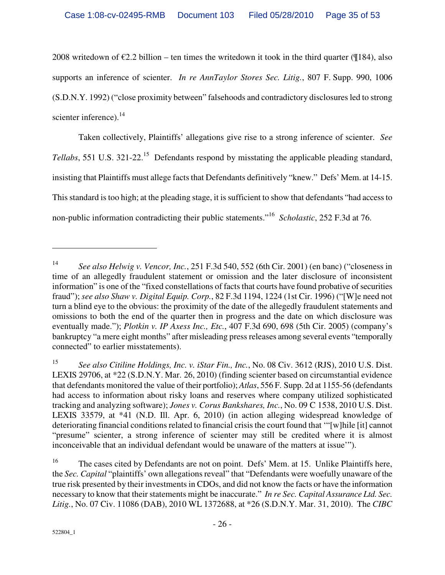2008 writedown of  $\epsilon$ 2.2 billion – ten times the writedown it took in the third quarter (¶184), also supports an inference of scienter. *In re AnnTaylor Stores Sec. Litig.*, 807 F. Supp. 990, 1006 (S.D.N.Y. 1992) ("close proximity between" falsehoods and contradictory disclosures led to strong scienter inference).<sup>14</sup>

Taken collectively, Plaintiffs' allegations give rise to a strong inference of scienter. *See Tellabs*, 551 U.S. 321-22.<sup>15</sup> Defendants respond by misstating the applicable pleading standard, insisting that Plaintiffs must allege facts that Defendants definitively "knew." Defs' Mem. at 14-15. This standard is too high; at the pleading stage, it is sufficient to show that defendants "had access to non-public information contradicting their public statements."<sup>16</sup> *Scholastic*, 252 F.3d at 76.

-

<sup>14</sup> *See also Helwig v. Vencor, Inc.*, 251 F.3d 540, 552 (6th Cir. 2001) (en banc) ("closeness in time of an allegedly fraudulent statement or omission and the later disclosure of inconsistent information" is one of the "fixed constellations of facts that courts have found probative of securities fraud"); *see also Shaw v. Digital Equip. Corp.*, 82 F.3d 1194, 1224 (1st Cir. 1996) ("[W]e need not turn a blind eye to the obvious: the proximity of the date of the allegedly fraudulent statements and omissions to both the end of the quarter then in progress and the date on which disclosure was eventually made."); *Plotkin v. IP Axess Inc., Etc.*, 407 F.3d 690, 698 (5th Cir. 2005) (company's bankruptcy "a mere eight months" after misleading press releases among several events "temporally connected" to earlier misstatements).

<sup>15</sup> *See also Citiline Holdings, Inc. v. iStar Fin., Inc.*, No. 08 Civ. 3612 (RJS), 2010 U.S. Dist. LEXIS 29706, at \*22 (S.D.N.Y. Mar. 26, 2010) (finding scienter based on circumstantial evidence that defendants monitored the value of their portfolio); *Atlas*, 556 F. Supp. 2d at 1155-56 (defendants had access to information about risky loans and reserves where company utilized sophisticated tracking and analyzing software); *Jones v. Corus Bankshares, Inc.*, No. 09 C 1538, 2010 U.S. Dist. LEXIS 33579, at \*41 (N.D. Ill. Apr. 6, 2010) (in action alleging widespread knowledge of deteriorating financial conditions related to financial crisis the court found that '"[w]hile [it] cannot "presume" scienter, a strong inference of scienter may still be credited where it is almost inconceivable that an individual defendant would be unaware of the matters at issue'").

<sup>&</sup>lt;sup>16</sup> The cases cited by Defendants are not on point. Defs' Mem. at 15. Unlike Plaintiffs here, the *Sec. Capital* "plaintiffs' own allegations reveal" that "Defendants were woefully unaware of the true risk presented by their investments in CDOs, and did not know the facts or have the information necessary to know that their statements might be inaccurate." *In re Sec. Capital Assurance Ltd. Sec. Litig.*, No. 07 Civ. 11086 (DAB), 2010 WL 1372688, at \*26 (S.D.N.Y. Mar. 31, 2010). The *CIBC*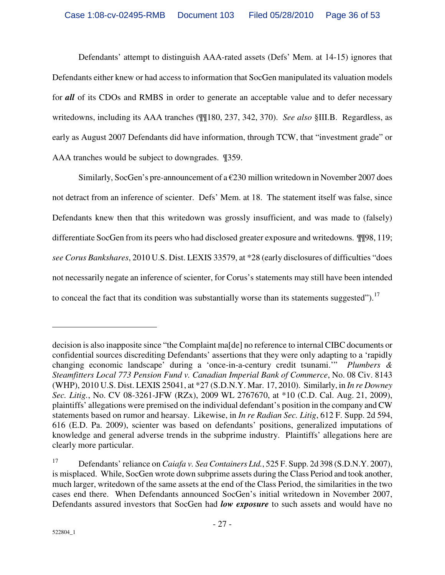Defendants' attempt to distinguish AAA-rated assets (Defs' Mem. at 14-15) ignores that Defendants either knew or had access to information that SocGen manipulated its valuation models for *all* of its CDOs and RMBS in order to generate an acceptable value and to defer necessary writedowns, including its AAA tranches (¶¶180, 237, 342, 370). *See also* §III.B. Regardless, as early as August 2007 Defendants did have information, through TCW, that "investment grade" or AAA tranches would be subject to downgrades. ¶359.

Similarly, SocGen's pre-announcement of a  $\epsilon$  230 million writedown in November 2007 does not detract from an inference of scienter. Defs' Mem. at 18. The statement itself was false, since Defendants knew then that this writedown was grossly insufficient, and was made to (falsely) differentiate SocGen from its peers who had disclosed greater exposure and writedowns. ¶¶98, 119; *see Corus Bankshares*, 2010 U.S. Dist. LEXIS 33579, at \*28 (early disclosures of difficulties "does not necessarily negate an inference of scienter, for Corus's statements may still have been intended to conceal the fact that its condition was substantially worse than its statements suggested").<sup>17</sup>

decision is also inapposite since "the Complaint ma[de] no reference to internal CIBC documents or confidential sources discrediting Defendants' assertions that they were only adapting to a 'rapidly changing economic landscape' during a 'once-in-a-century credit tsunami.'" *Plumbers & Steamfitters Local 773 Pension Fund v. Canadian Imperial Bank of Commerce*, No. 08 Civ. 8143 (WHP), 2010 U.S. Dist. LEXIS 25041, at \*27 (S.D.N.Y. Mar. 17, 2010). Similarly, in *In re Downey Sec. Litig.*, No. CV 08-3261-JFW (RZx), 2009 WL 2767670, at \*10 (C.D. Cal. Aug. 21, 2009), plaintiffs' allegations were premised on the individual defendant's position in the company and CW statements based on rumor and hearsay. Likewise, in *In re Radian Sec. Litig*, 612 F. Supp. 2d 594, 616 (E.D. Pa. 2009), scienter was based on defendants' positions, generalized imputations of knowledge and general adverse trends in the subprime industry. Plaintiffs' allegations here are clearly more particular.

<sup>17</sup> Defendants' reliance on *Caiafa v. Sea Containers Ltd.*, 525 F. Supp. 2d 398 (S.D.N.Y. 2007), is misplaced. While, SocGen wrote down subprime assets during the Class Period and took another, much larger, writedown of the same assets at the end of the Class Period, the similarities in the two cases end there. When Defendants announced SocGen's initial writedown in November 2007, Defendants assured investors that SocGen had *low exposure* to such assets and would have no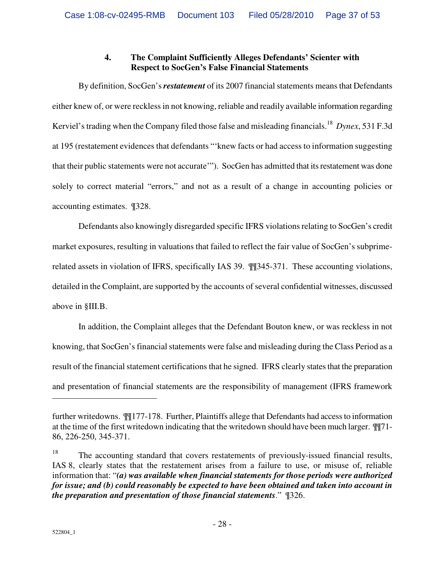# **4. The Complaint Sufficiently Alleges Defendants' Scienter with Respect to SocGen's False Financial Statements**

By definition, SocGen's *restatement* of its 2007 financial statements means that Defendants either knew of, or were reckless in not knowing, reliable and readily available information regarding Kerviel's trading when the Company filed those false and misleading financials.<sup>18</sup> *Dynex*, 531 F.3d at 195 (restatement evidences that defendants "'knew facts or had access to information suggesting that their public statements were not accurate'"). SocGen has admitted that its restatement was done solely to correct material "errors," and not as a result of a change in accounting policies or accounting estimates. ¶328.

Defendants also knowingly disregarded specific IFRS violations relating to SocGen's credit market exposures, resulting in valuations that failed to reflect the fair value of SocGen's subprimerelated assets in violation of IFRS, specifically IAS 39. ¶¶345-371. These accounting violations, detailed in the Complaint, are supported by the accounts of several confidential witnesses, discussed above in §III.B.

In addition, the Complaint alleges that the Defendant Bouton knew, or was reckless in not knowing, that SocGen's financial statements were false and misleading during the Class Period as a result of the financial statement certifications that he signed. IFRS clearly states that the preparation and presentation of financial statements are the responsibility of management (IFRS framework

further writedowns. ¶¶177-178. Further, Plaintiffs allege that Defendants had access to information at the time of the first writedown indicating that the writedown should have been much larger. ¶¶71- 86, 226-250, 345-371.

<sup>&</sup>lt;sup>18</sup> The accounting standard that covers restatements of previously-issued financial results, IAS 8, clearly states that the restatement arises from a failure to use, or misuse of, reliable information that: "*(a) was available when financial statements for those periods were authorized for issue; and (b) could reasonably be expected to have been obtained and taken into account in the preparation and presentation of those financial statements*." ¶326.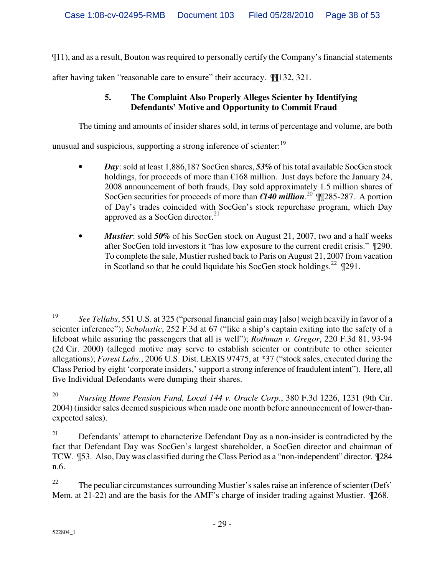¶11), and as a result, Bouton was required to personally certify the Company's financial statements

after having taken "reasonable care to ensure" their accuracy. ¶¶132, 321.

# **5. The Complaint Also Properly Alleges Scienter by Identifying Defendants' Motive and Opportunity to Commit Fraud**

The timing and amounts of insider shares sold, in terms of percentage and volume, are both

unusual and suspicious, supporting a strong inference of scienter:<sup>19</sup>

- *Day*: sold at least 1,886,187 SocGen shares, *53%* of his total available SocGen stock holdings, for proceeds of more than  $\epsilon$ 168 million. Just days before the January 24, 2008 announcement of both frauds, Day sold approximately 1.5 million shares of SocGen securities for proceeds of more than  $€140$  million.<sup>20</sup> III<sub>285</sub>-287. A portion of Day's trades coincided with SocGen's stock repurchase program, which Day approved as a SocGen director. $21$
- *Mustier*: sold 50% of his SocGen stock on August 21, 2007, two and a half weeks after SocGen told investors it "has low exposure to the current credit crisis." ¶290. To complete the sale, Mustier rushed back to Paris on August 21, 2007 from vacation in Scotland so that he could liquidate his SocGen stock holdings.<sup>22</sup>  $\mathbb{Z}$  291.

<sup>20</sup> *Nursing Home Pension Fund, Local 144 v. Oracle Corp.*, 380 F.3d 1226, 1231 (9th Cir. 2004) (insider sales deemed suspicious when made one month before announcement of lower-thanexpected sales).

 $21$  Defendants' attempt to characterize Defendant Day as a non-insider is contradicted by the fact that Defendant Day was SocGen's largest shareholder, a SocGen director and chairman of TCW. ¶53. Also, Day was classified during the Class Period as a "non-independent" director. ¶284 n.6.

<sup>22</sup> The peculiar circumstances surrounding Mustier's sales raise an inference of scienter (Defs' Mem. at 21-22) and are the basis for the AMF's charge of insider trading against Mustier. ¶268.

<sup>19</sup> *See Tellabs*, 551 U.S. at 325 ("personal financial gain may [also] weigh heavily in favor of a scienter inference"); *Scholastic*, 252 F.3d at 67 ("like a ship's captain exiting into the safety of a lifeboat while assuring the passengers that all is well"); *Rothman v. Gregor*, 220 F.3d 81, 93-94 (2d Cir. 2000) (alleged motive may serve to establish scienter or contribute to other scienter allegations); *Forest Labs.*, 2006 U.S. Dist. LEXIS 97475, at \*37 ("stock sales, executed during the Class Period by eight 'corporate insiders,' support a strong inference of fraudulent intent"). Here, all five Individual Defendants were dumping their shares.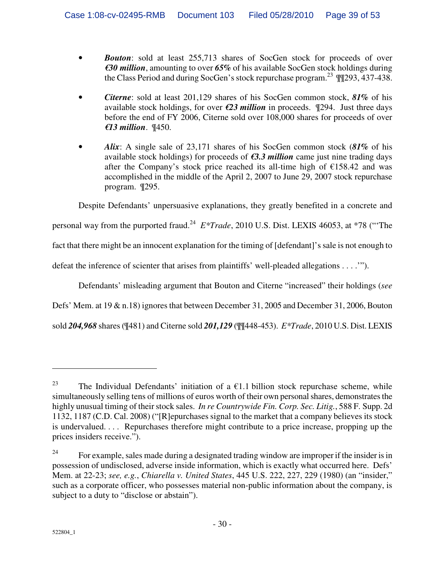- *Bouton*: sold at least 255,713 shares of SocGen stock for proceeds of over *€30 million*, amounting to over *65%* of his available SocGen stock holdings during the Class Period and during SocGen's stock repurchase program.<sup>23</sup>  $\P$  $\P$ 293, 437-438.
- *Citerne*: sold at least 201,129 shares of his SocGen common stock, *81%* of his available stock holdings, for over *€23 million* in proceeds. ¶294. Just three days before the end of FY 2006, Citerne sold over 108,000 shares for proceeds of over *€13 million*. ¶450.
- *Alix*: A single sale of 23,171 shares of his SocGen common stock (*81%* of his available stock holdings) for proceeds of *€3.3 million* came just nine trading days after the Company's stock price reached its all-time high of  $£158.42$  and was accomplished in the middle of the April 2, 2007 to June 29, 2007 stock repurchase program. ¶295.

Despite Defendants' unpersuasive explanations, they greatly benefited in a concrete and personal way from the purported fraud.<sup>24</sup> E<sup>\*</sup>Trade, 2010 U.S. Dist. LEXIS 46053, at \*78 ("The fact that there might be an innocent explanation for the timing of [defendant]'s sale is not enough to defeat the inference of scienter that arises from plaintiffs' well-pleaded allegations . . . .'").

Defendants' misleading argument that Bouton and Citerne "increased" their holdings (*see* Defs' Mem. at 19 & n.18) ignores that between December 31, 2005 and December 31, 2006, Bouton sold *204,968* shares (¶481) and Citerne sold *201,129* (¶¶448-453). *E\*Trade*, 2010 U.S. Dist. LEXIS

<u>.</u>

<sup>&</sup>lt;sup>23</sup> The Individual Defendants' initiation of a  $\epsilon$ 1.1 billion stock repurchase scheme, while simultaneously selling tens of millions of euros worth of their own personal shares, demonstrates the highly unusual timing of their stock sales. *In re Countrywide Fin. Corp. Sec. Litig.*, 588 F. Supp. 2d 1132, 1187 (C.D. Cal. 2008) ("[R]epurchases signal to the market that a company believes its stock is undervalued. . . . Repurchases therefore might contribute to a price increase, propping up the prices insiders receive.").

<sup>&</sup>lt;sup>24</sup> For example, sales made during a designated trading window are improper if the insider is in possession of undisclosed, adverse inside information, which is exactly what occurred here. Defs' Mem. at 22-23; *see, e.g.*, *Chiarella v. United States*, 445 U.S. 222, 227, 229 (1980) (an "insider," such as a corporate officer, who possesses material non-public information about the company, is subject to a duty to "disclose or abstain").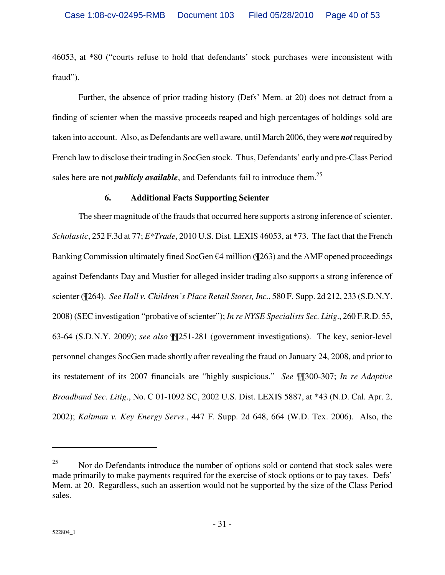46053, at \*80 ("courts refuse to hold that defendants' stock purchases were inconsistent with fraud").

Further, the absence of prior trading history (Defs' Mem. at 20) does not detract from a finding of scienter when the massive proceeds reaped and high percentages of holdings sold are taken into account. Also, as Defendants are well aware, until March 2006, they were *not* required by French law to disclose their trading in SocGen stock. Thus, Defendants' early and pre-Class Period sales here are not *publicly available*, and Defendants fail to introduce them.<sup>25</sup>

#### **6. Additional Facts Supporting Scienter**

The sheer magnitude of the frauds that occurred here supports a strong inference of scienter. *Scholastic*, 252 F.3d at 77; *E\*Trade*, 2010 U.S. Dist. LEXIS 46053, at \*73. The fact that the French Banking Commission ultimately fined SocGen  $\epsilon$ 4 million ( $\P$ 263) and the AMF opened proceedings against Defendants Day and Mustier for alleged insider trading also supports a strong inference of scienter (¶264). *See Hall v. Children's Place Retail Stores, Inc.*, 580 F. Supp. 2d 212, 233 (S.D.N.Y. 2008) (SEC investigation "probative of scienter"); *In re NYSE Specialists Sec. Litig*., 260 F.R.D. 55, 63-64 (S.D.N.Y. 2009); *see also* ¶¶251-281 (government investigations). The key, senior-level personnel changes SocGen made shortly after revealing the fraud on January 24, 2008, and prior to its restatement of its 2007 financials are "highly suspicious." *See* ¶¶300-307; *In re Adaptive Broadband Sec. Litig*., No. C 01-1092 SC, 2002 U.S. Dist. LEXIS 5887, at \*43 (N.D. Cal. Apr. 2, 2002); *Kaltman v. Key Energy Servs*., 447 F. Supp. 2d 648, 664 (W.D. Tex. 2006). Also, the

<sup>&</sup>lt;sup>25</sup> Nor do Defendants introduce the number of options sold or contend that stock sales were made primarily to make payments required for the exercise of stock options or to pay taxes. Defs' Mem. at 20. Regardless, such an assertion would not be supported by the size of the Class Period sales.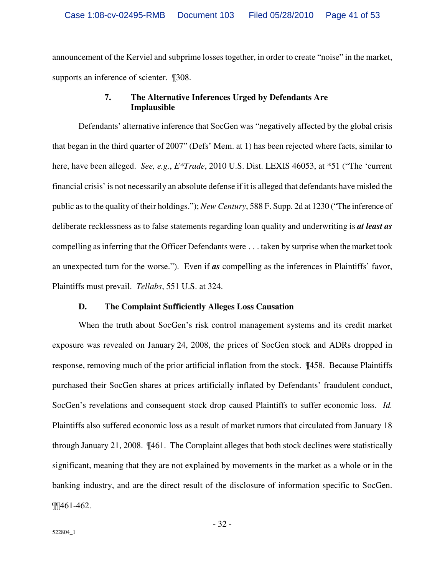announcement of the Kerviel and subprime losses together, in order to create "noise" in the market, supports an inference of scienter. ¶308.

## **7. The Alternative Inferences Urged by Defendants Are Implausible**

Defendants' alternative inference that SocGen was "negatively affected by the global crisis that began in the third quarter of 2007" (Defs' Mem. at 1) has been rejected where facts, similar to here, have been alleged. *See, e.g.*, *E\*Trade*, 2010 U.S. Dist. LEXIS 46053, at \*51 ("The 'current financial crisis' is not necessarily an absolute defense if it is alleged that defendants have misled the public as to the quality of their holdings."); *New Century*, 588 F. Supp. 2d at 1230 ("The inference of deliberate recklessness as to false statements regarding loan quality and underwriting is *at least as* compelling as inferring that the Officer Defendants were . . . taken by surprise when the market took an unexpected turn for the worse."). Even if *as* compelling as the inferences in Plaintiffs' favor, Plaintiffs must prevail. *Tellabs*, 551 U.S. at 324.

#### **D. The Complaint Sufficiently Alleges Loss Causation**

When the truth about SocGen's risk control management systems and its credit market exposure was revealed on January 24, 2008, the prices of SocGen stock and ADRs dropped in response, removing much of the prior artificial inflation from the stock. ¶458. Because Plaintiffs purchased their SocGen shares at prices artificially inflated by Defendants' fraudulent conduct, SocGen's revelations and consequent stock drop caused Plaintiffs to suffer economic loss. *Id.* Plaintiffs also suffered economic loss as a result of market rumors that circulated from January 18 through January 21, 2008. ¶461. The Complaint alleges that both stock declines were statistically significant, meaning that they are not explained by movements in the market as a whole or in the banking industry, and are the direct result of the disclosure of information specific to SocGen. ¶¶461-462.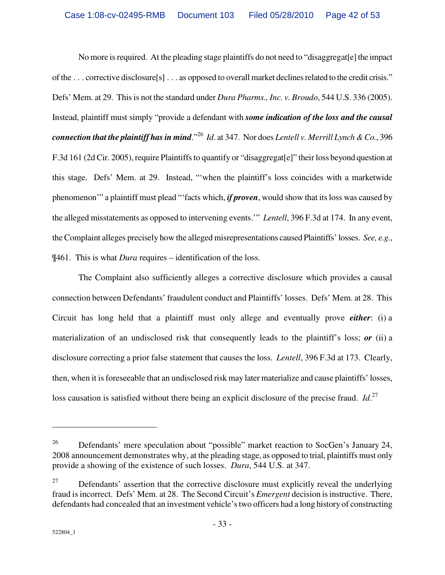No more is required. At the pleading stage plaintiffs do not need to "disaggregat[e] the impact of the . . . corrective disclosure[s] . . . as opposed to overall market declines related to the credit crisis." Defs' Mem. at 29. This is not the standard under *Dura Pharms., Inc. v. Broudo*, 544 U.S. 336 (2005). Instead, plaintiff must simply "provide a defendant with *some indication of the loss and the causal connection that the plaintiff has in mind*."<sup>26</sup> *Id*. at 347. Nor does *Lentell v. Merrill Lynch & Co.*, 396 F.3d 161 (2d Cir. 2005), require Plaintiffs to quantify or "disaggregat[e]" their loss beyond question at this stage. Defs' Mem. at 29. Instead, "'when the plaintiff's loss coincides with a marketwide phenomenon'" a plaintiff must plead "'facts which, *if proven*, would show that its loss was caused by the alleged misstatements as opposed to intervening events.'" *Lentell*, 396 F.3d at 174. In any event, the Complaint alleges precisely how the alleged misrepresentations caused Plaintiffs' losses. *See, e.g.*, ¶461. This is what *Dura* requires – identification of the loss.

The Complaint also sufficiently alleges a corrective disclosure which provides a causal connection between Defendants' fraudulent conduct and Plaintiffs' losses. Defs' Mem. at 28. This Circuit has long held that a plaintiff must only allege and eventually prove *either*: (i) a materialization of an undisclosed risk that consequently leads to the plaintiff's loss; *or* (ii) a disclosure correcting a prior false statement that causes the loss. *Lentell*, 396 F.3d at 173. Clearly, then, when it is foreseeable that an undisclosed risk may later materialize and cause plaintiffs' losses, loss causation is satisfied without there being an explicit disclosure of the precise fraud. *Id*. 27

<u>.</u>

<sup>&</sup>lt;sup>26</sup> Defendants' mere speculation about "possible" market reaction to SocGen's January 24, 2008 announcement demonstrates why, at the pleading stage, as opposed to trial, plaintiffs must only provide a showing of the existence of such losses. *Dura*, 544 U.S. at 347.

 $27$  Defendants' assertion that the corrective disclosure must explicitly reveal the underlying fraud is incorrect. Defs' Mem. at 28. The Second Circuit's *Emergent* decision is instructive. There, defendants had concealed that an investment vehicle's two officers had a long history of constructing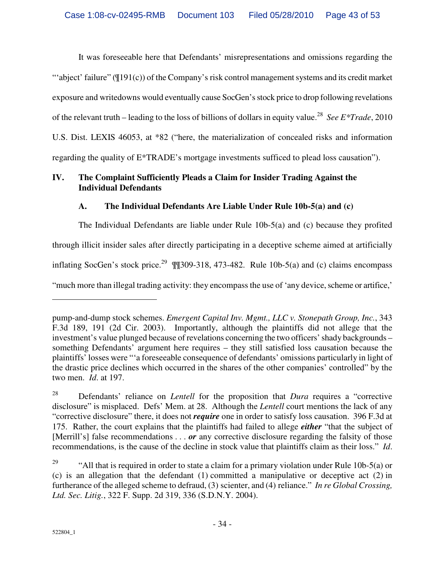It was foreseeable here that Defendants' misrepresentations and omissions regarding the "abject' failure" ( $\P$ 191(c)) of the Company's risk control management systems and its credit market exposure and writedowns would eventually cause SocGen's stock price to drop following revelations of the relevant truth – leading to the loss of billions of dollars in equity value.<sup>28</sup> See E\*Trade, 2010 U.S. Dist. LEXIS 46053, at \*82 ("here, the materialization of concealed risks and information regarding the quality of E\*TRADE's mortgage investments sufficed to plead loss causation").

# **IV. The Complaint Sufficiently Pleads a Claim for Insider Trading Against the Individual Defendants**

# **A. The Individual Defendants Are Liable Under Rule 10b-5(a) and (c)**

The Individual Defendants are liable under Rule 10b-5(a) and (c) because they profited through illicit insider sales after directly participating in a deceptive scheme aimed at artificially inflating SocGen's stock price.<sup>29</sup>  $\P$  $[309-318, 473-482$ . Rule 10b-5(a) and (c) claims encompass "much more than illegal trading activity: they encompass the use of 'any device, scheme or artifice,'

 $\overline{a}$ 

pump-and-dump stock schemes. *Emergent Capital Inv. Mgmt., LLC v. Stonepath Group, Inc.*, 343 F.3d 189, 191 (2d Cir. 2003). Importantly, although the plaintiffs did not allege that the investment's value plunged because of revelations concerning the two officers' shady backgrounds – something Defendants' argument here requires – they still satisfied loss causation because the plaintiffs' losses were "'a foreseeable consequence of defendants' omissions particularly in light of the drastic price declines which occurred in the shares of the other companies' controlled" by the two men. *Id*. at 197.

<sup>28</sup> Defendants' reliance on *Lentell* for the proposition that *Dura* requires a "corrective disclosure" is misplaced. Defs' Mem. at 28. Although the *Lentell* court mentions the lack of any "corrective disclosure" there, it does not *require* one in order to satisfy loss causation. 396 F.3d at 175. Rather, the court explains that the plaintiffs had failed to allege *either* "that the subject of [Merrill's] false recommendations . . . *or* any corrective disclosure regarding the falsity of those recommendations, is the cause of the decline in stock value that plaintiffs claim as their loss." *Id*.

<sup>&</sup>lt;sup>29</sup> "All that is required in order to state a claim for a primary violation under Rule 10b-5(a) or (c) is an allegation that the defendant (1) committed a manipulative or deceptive act (2) in furtherance of the alleged scheme to defraud, (3) scienter, and (4) reliance." *In re Global Crossing, Ltd. Sec. Litig.*, 322 F. Supp. 2d 319, 336 (S.D.N.Y. 2004).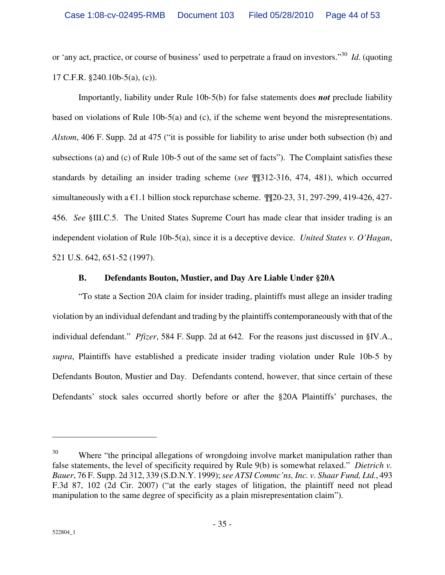or 'any act, practice, or course of business' used to perpetrate a fraud on investors."<sup>30</sup> *Id*. (quoting 17 C.F.R. §240.10b-5(a), (c)).

Importantly, liability under Rule 10b-5(b) for false statements does *not* preclude liability based on violations of Rule 10b-5(a) and (c), if the scheme went beyond the misrepresentations. *Alstom*, 406 F. Supp. 2d at 475 ("it is possible for liability to arise under both subsection (b) and subsections (a) and (c) of Rule 10b-5 out of the same set of facts"). The Complaint satisfies these standards by detailing an insider trading scheme (*see* ¶¶312-316, 474, 481), which occurred simultaneously with a  $\epsilon$ 1.1 billion stock repurchase scheme.  $\P$  $20$ -23, 31, 297-299, 419-426, 427-456. *See* §III.C.5. The United States Supreme Court has made clear that insider trading is an independent violation of Rule 10b-5(a), since it is a deceptive device. *United States v. O'Hagan*, 521 U.S. 642, 651-52 (1997).

## **B. Defendants Bouton, Mustier, and Day Are Liable Under §20A**

"To state a Section 20A claim for insider trading, plaintiffs must allege an insider trading violation by an individual defendant and trading by the plaintiffs contemporaneously with that of the individual defendant." *Pfizer*, 584 F. Supp. 2d at 642. For the reasons just discussed in §IV.A., *supra*, Plaintiffs have established a predicate insider trading violation under Rule 10b-5 by Defendants Bouton, Mustier and Day. Defendants contend, however, that since certain of these Defendants' stock sales occurred shortly before or after the §20A Plaintiffs' purchases, the

<u>.</u>

<sup>&</sup>lt;sup>30</sup> Where "the principal allegations of wrongdoing involve market manipulation rather than false statements, the level of specificity required by Rule 9(b) is somewhat relaxed." *Dietrich v. Bauer*, 76 F. Supp. 2d 312, 339 (S.D.N.Y. 1999); *see ATSI Commc'ns, Inc. v. Shaar Fund, Ltd.*, 493 F.3d 87, 102 (2d Cir. 2007) ("at the early stages of litigation, the plaintiff need not plead manipulation to the same degree of specificity as a plain misrepresentation claim").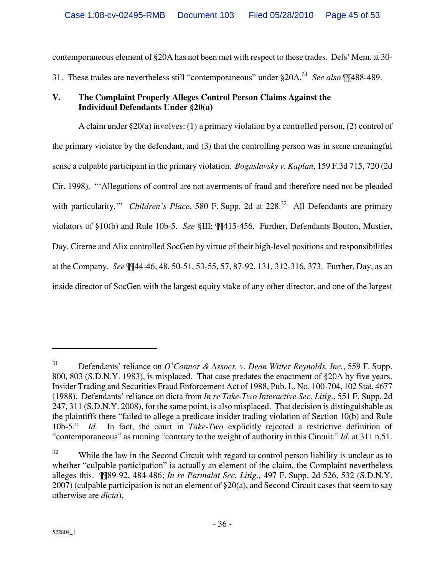contemporaneous element of §20A has not been met with respect to these trades. Defs' Mem. at 30-

31. These trades are nevertheless still "contemporaneous" under §20A.<sup>31</sup> *See also* ¶¶488-489.

# **V. The Complaint Properly Alleges Control Person Claims Against the Individual Defendants Under §20(a)**

A claim under  $\S 20(a)$  involves: (1) a primary violation by a controlled person, (2) control of the primary violator by the defendant, and (3) that the controlling person was in some meaningful sense a culpable participant in the primary violation. *Boguslavsky v. Kaplan*, 159 F.3d 715, 720 (2d Cir. 1998). "'Allegations of control are not averments of fraud and therefore need not be pleaded with particularity." *Children's Place*, 580 F. Supp. 2d at 228.<sup>32</sup> All Defendants are primary violators of §10(b) and Rule 10b-5. *See* §III; ¶¶415-456. Further, Defendants Bouton, Mustier, Day, Citerne and Alix controlled SocGen by virtue of their high-level positions and responsibilities at the Company. *See* ¶¶44-46, 48, 50-51, 53-55, 57, 87-92, 131, 312-316, 373. Further, Day, as an inside director of SocGen with the largest equity stake of any other director, and one of the largest

<sup>31</sup> Defendants' reliance on *O'Connor & Assocs. v. Dean Witter Reynolds, Inc.*, 559 F. Supp. 800, 803 (S.D.N.Y. 1983), is misplaced. That case predates the enactment of §20A by five years. Insider Trading and Securities Fraud Enforcement Act of 1988, Pub. L. No. 100-704, 102 Stat. 4677 (1988). Defendants' reliance on dicta from *In re Take-Two Interactive Sec. Litig.*, 551 F. Supp. 2d 247, 311 (S.D.N.Y. 2008), for the same point, is also misplaced. That decision is distinguishable as the plaintiffs there "failed to allege a predicate insider trading violation of Section 10(b) and Rule 10b-5." *Id.* In fact, the court in *Take-Two* explicitly rejected a restrictive definition of "contemporaneous" as running "contrary to the weight of authority in this Circuit." *Id.* at 311 n.51.

 $32$  While the law in the Second Circuit with regard to control person liability is unclear as to whether "culpable participation" is actually an element of the claim, the Complaint nevertheless alleges this. ¶¶89-92, 484-486; *In re Parmalat Sec. Litig.*, 497 F. Supp. 2d 526, 532 (S.D.N.Y. 2007) (culpable participation is not an element of §20(a), and Second Circuit cases that seem to say otherwise are *dicta*).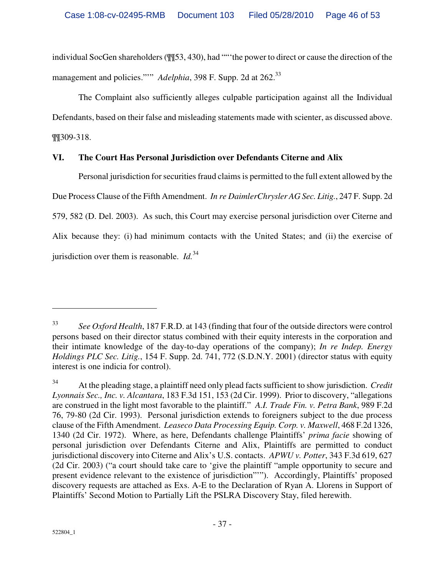individual SocGen shareholders ( $\frac{1153}{1000}$ , had ""the power to direct or cause the direction of the management and policies."" *Adelphia*, 398 F. Supp. 2d at 262.<sup>33</sup>

The Complaint also sufficiently alleges culpable participation against all the Individual Defendants, based on their false and misleading statements made with scienter, as discussed above. ¶¶309-318.

# **VI. The Court Has Personal Jurisdiction over Defendants Citerne and Alix**

Personal jurisdiction for securities fraud claims is permitted to the full extent allowed by the Due Process Clause of the Fifth Amendment. *In re DaimlerChrysler AG Sec. Litig.*, 247 F. Supp. 2d 579, 582 (D. Del. 2003). As such, this Court may exercise personal jurisdiction over Citerne and Alix because they: (i) had minimum contacts with the United States; and (ii) the exercise of jurisdiction over them is reasonable. *Id.*<sup>34</sup>

<sup>33</sup> *See Oxford Health*, 187 F.R.D. at 143 (finding that four of the outside directors were control persons based on their director status combined with their equity interests in the corporation and their intimate knowledge of the day-to-day operations of the company); *In re Indep. Energy Holdings PLC Sec. Litig.*, 154 F. Supp. 2d. 741, 772 (S.D.N.Y. 2001) (director status with equity interest is one indicia for control).

<sup>34</sup> At the pleading stage, a plaintiff need only plead facts sufficient to show jurisdiction. *Credit Lyonnais Sec., Inc. v. Alcantara*, 183 F.3d 151, 153 (2d Cir. 1999). Prior to discovery, "allegations are construed in the light most favorable to the plaintiff." *A.I. Trade Fin. v. Petra Bank*, 989 F.2d 76, 79-80 (2d Cir. 1993). Personal jurisdiction extends to foreigners subject to the due process clause of the Fifth Amendment. *Leaseco Data Processing Equip. Corp. v. Maxwell*, 468 F.2d 1326, 1340 (2d Cir. 1972). Where, as here, Defendants challenge Plaintiffs' *prima facie* showing of personal jurisdiction over Defendants Citerne and Alix, Plaintiffs are permitted to conduct jurisdictional discovery into Citerne and Alix's U.S. contacts. *APWU v. Potter*, 343 F.3d 619, 627 (2d Cir. 2003) ("a court should take care to 'give the plaintiff "ample opportunity to secure and present evidence relevant to the existence of jurisdiction"'"). Accordingly, Plaintiffs' proposed discovery requests are attached as Exs. A-E to the Declaration of Ryan A. Llorens in Support of Plaintiffs' Second Motion to Partially Lift the PSLRA Discovery Stay, filed herewith.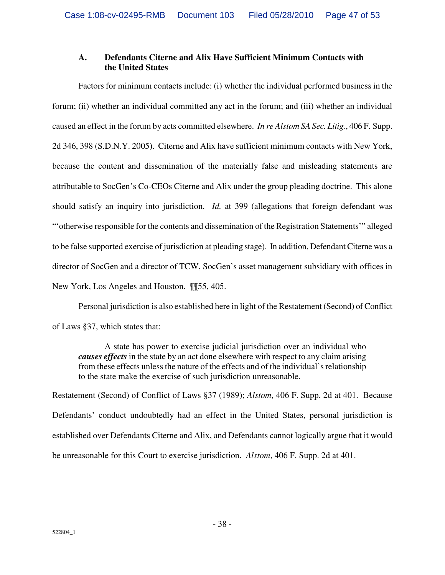# **A. Defendants Citerne and Alix Have Sufficient Minimum Contacts with the United States**

Factors for minimum contacts include: (i) whether the individual performed business in the forum; (ii) whether an individual committed any act in the forum; and (iii) whether an individual caused an effect in the forum by acts committed elsewhere. *In re Alstom SA Sec. Litig.*, 406 F. Supp. 2d 346, 398 (S.D.N.Y. 2005). Citerne and Alix have sufficient minimum contacts with New York, because the content and dissemination of the materially false and misleading statements are attributable to SocGen's Co-CEOs Citerne and Alix under the group pleading doctrine. This alone should satisfy an inquiry into jurisdiction. *Id.* at 399 (allegations that foreign defendant was "'otherwise responsible for the contents and dissemination of the Registration Statements'" alleged to be false supported exercise of jurisdiction at pleading stage). In addition, Defendant Citerne was a director of SocGen and a director of TCW, SocGen's asset management subsidiary with offices in New York, Los Angeles and Houston. ¶¶55, 405.

Personal jurisdiction is also established here in light of the Restatement (Second) of Conflict of Laws §37, which states that:

A state has power to exercise judicial jurisdiction over an individual who *causes effects* in the state by an act done elsewhere with respect to any claim arising from these effects unless the nature of the effects and of the individual's relationship to the state make the exercise of such jurisdiction unreasonable.

Restatement (Second) of Conflict of Laws §37 (1989); *Alstom*, 406 F. Supp. 2d at 401. Because Defendants' conduct undoubtedly had an effect in the United States, personal jurisdiction is established over Defendants Citerne and Alix, and Defendants cannot logically argue that it would be unreasonable for this Court to exercise jurisdiction. *Alstom*, 406 F. Supp. 2d at 401.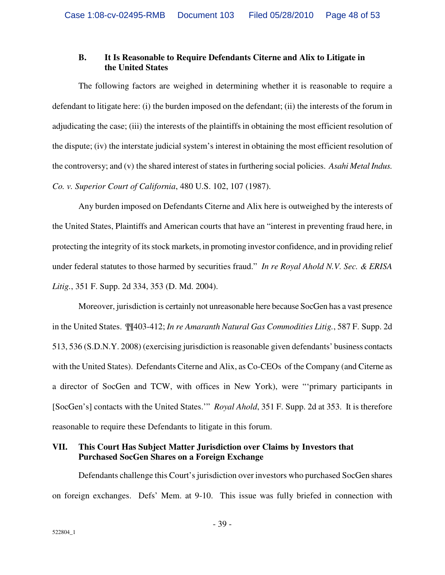## **B. It Is Reasonable to Require Defendants Citerne and Alix to Litigate in the United States**

The following factors are weighed in determining whether it is reasonable to require a defendant to litigate here: (i) the burden imposed on the defendant; (ii) the interests of the forum in adjudicating the case; (iii) the interests of the plaintiffs in obtaining the most efficient resolution of the dispute; (iv) the interstate judicial system's interest in obtaining the most efficient resolution of the controversy; and (v) the shared interest of states in furthering social policies. *Asahi Metal Indus. Co. v. Superior Court of California*, 480 U.S. 102, 107 (1987).

Any burden imposed on Defendants Citerne and Alix here is outweighed by the interests of the United States, Plaintiffs and American courts that have an "interest in preventing fraud here, in protecting the integrity of its stock markets, in promoting investor confidence, and in providing relief under federal statutes to those harmed by securities fraud." *In re Royal Ahold N.V. Sec. & ERISA Litig.*, 351 F. Supp. 2d 334, 353 (D. Md. 2004).

Moreover, jurisdiction is certainly not unreasonable here because SocGen has a vast presence in the United States. ¶¶403-412; *In re Amaranth Natural Gas Commodities Litig.*, 587 F. Supp. 2d 513, 536 (S.D.N.Y. 2008) (exercising jurisdiction is reasonable given defendants' business contacts with the United States). Defendants Citerne and Alix, as Co-CEOs of the Company (and Citerne as a director of SocGen and TCW, with offices in New York), were "'primary participants in [SocGen's] contacts with the United States.'" *Royal Ahold*, 351 F. Supp. 2d at 353. It is therefore reasonable to require these Defendants to litigate in this forum.

# **VII. This Court Has Subject Matter Jurisdiction over Claims by Investors that Purchased SocGen Shares on a Foreign Exchange**

Defendants challenge this Court's jurisdiction over investors who purchased SocGen shares on foreign exchanges. Defs' Mem. at 9-10. This issue was fully briefed in connection with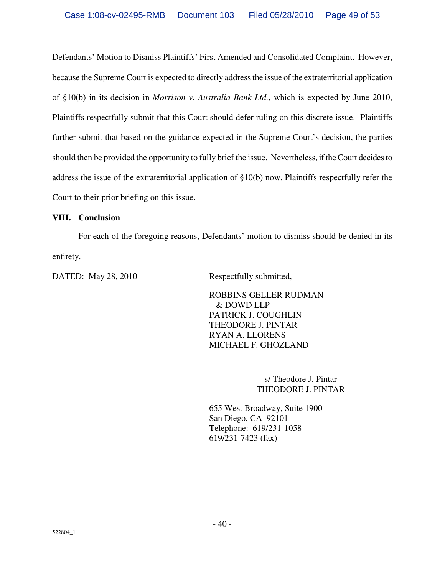Defendants' Motion to Dismiss Plaintiffs' First Amended and Consolidated Complaint. However, because the Supreme Court is expected to directly address the issue of the extraterritorial application of §10(b) in its decision in *Morrison v. Australia Bank Ltd.*, which is expected by June 2010, Plaintiffs respectfully submit that this Court should defer ruling on this discrete issue. Plaintiffs further submit that based on the guidance expected in the Supreme Court's decision, the parties should then be provided the opportunity to fully brief the issue. Nevertheless, if the Court decides to address the issue of the extraterritorial application of §10(b) now, Plaintiffs respectfully refer the Court to their prior briefing on this issue.

## **VIII. Conclusion**

For each of the foregoing reasons, Defendants' motion to dismiss should be denied in its entirety.

DATED: May 28, 2010 Respectfully submitted,

ROBBINS GELLER RUDMAN & DOWD LLP PATRICK J. COUGHLIN THEODORE J. PINTAR RYAN A. LLORENS MICHAEL F. GHOZLAND

> s/ Theodore J. Pintar THEODORE J. PINTAR

655 West Broadway, Suite 1900 San Diego, CA 92101 Telephone: 619/231-1058 619/231-7423 (fax)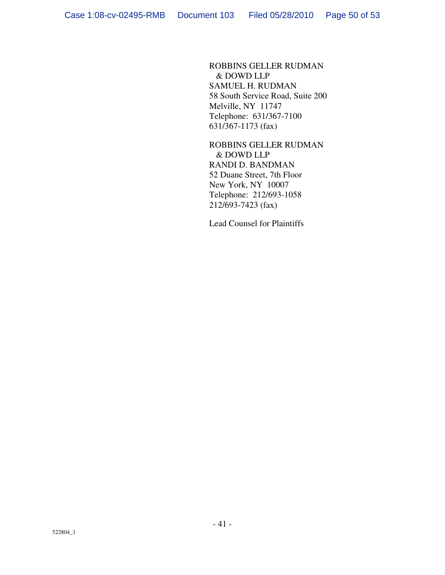ROBBINS GELLER RUDMAN & DOWD LLP SAMUEL H. RUDMAN 58 South Service Road, Suite 200 Melville, NY 11747 Telephone: 631/367-7100 631/367-1173 (fax)

ROBBINS GELLER RUDMAN & DOWD LLP RANDI D. BANDMAN 52 Duane Street, 7th Floor New York, NY 10007 Telephone: 212/693-1058 212/693-7423 (fax)

Lead Counsel for Plaintiffs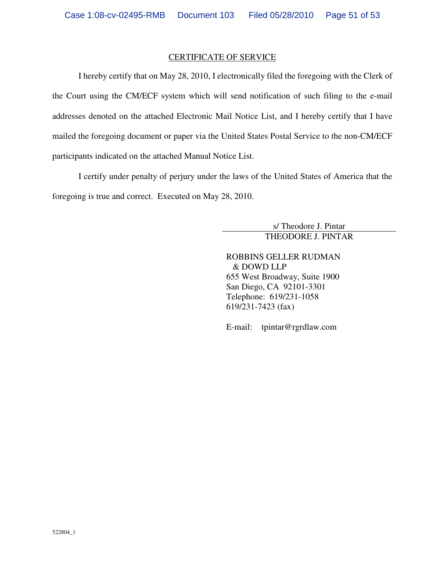#### CERTIFICATE OF SERVICE

I hereby certify that on May 28, 2010, I electronically filed the foregoing with the Clerk of the Court using the CM/ECF system which will send notification of such filing to the e-mail addresses denoted on the attached Electronic Mail Notice List, and I hereby certify that I have mailed the foregoing document or paper via the United States Postal Service to the non-CM/ECF participants indicated on the attached Manual Notice List.

I certify under penalty of perjury under the laws of the United States of America that the foregoing is true and correct. Executed on May 28, 2010.

> s/ Theodore J. Pintar THEODORE J. PINTAR

ROBBINS GELLER RUDMAN & DOWD LLP 655 West Broadway, Suite 1900 San Diego, CA 92101-3301 Telephone: 619/231-1058 619/231-7423 (fax)

E-mail: tpintar@rgrdlaw.com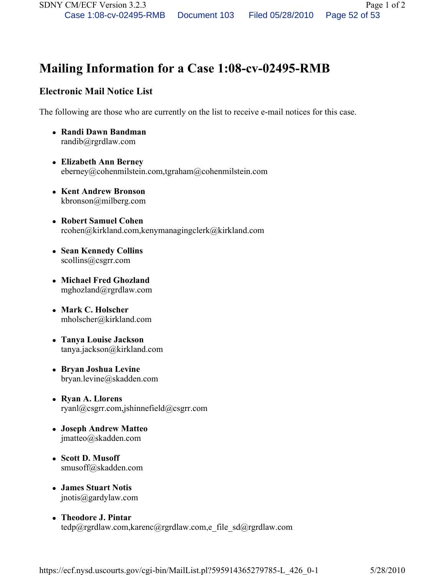# Mailing Information for a Case 1:08-cv-02495-RMB

# Electronic Mail Notice List

The following are those who are currently on the list to receive e-mail notices for this case.

- Randi Dawn Bandman randib@rgrdlaw.com
- Elizabeth Ann Berney eberney@cohenmilstein.com,tgraham@cohenmilstein.com
- Kent Andrew Bronson kbronson@milberg.com
- Robert Samuel Cohen rcohen@kirkland.com,kenymanagingclerk@kirkland.com
- Sean Kennedy Collins scollins@csgrr.com
- Michael Fred Ghozland mghozland@rgrdlaw.com
- Mark C. Holscher mholscher@kirkland.com
- Tanya Louise Jackson tanya.jackson@kirkland.com
- Bryan Joshua Levine bryan.levine@skadden.com
- Ryan A. Llorens ryanl@csgrr.com,jshinnefield@csgrr.com
- Joseph Andrew Matteo jmatteo@skadden.com
- Scott D. Musoff smusoff@skadden.com
- James Stuart Notis jnotis@gardylaw.com
- Theodore J. Pintar tedp@rgrdlaw.com,karenc@rgrdlaw.com,e\_file\_sd@rgrdlaw.com